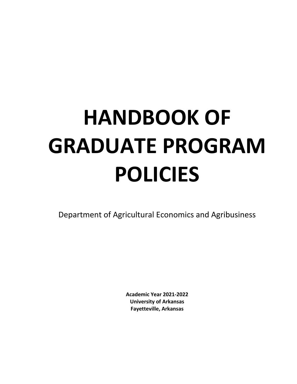# **HANDBOOK OF GRADUATE PROGRAM POLICIES**

Department of Agricultural Economics and Agribusiness

**Academic Year 2021‐2022 University of Arkansas Fayetteville, Arkansas**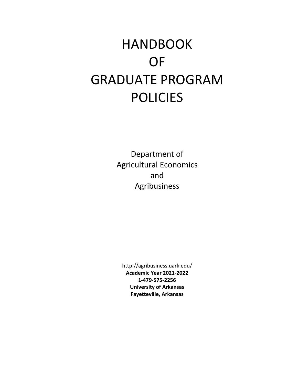## HANDBOOK OF GRADUATE PROGRAM POLICIES

Department of Agricultural Economics and Agribusiness

http://agribusiness.uark.edu/ **Academic Year 2021‐2022 1‐479‐575‐2256 University of Arkansas Fayetteville, Arkansas**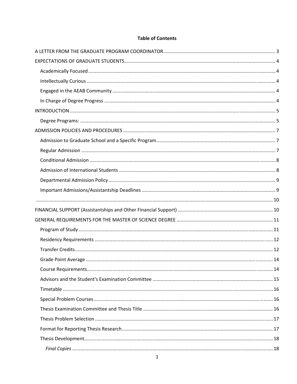#### **Table of Contents**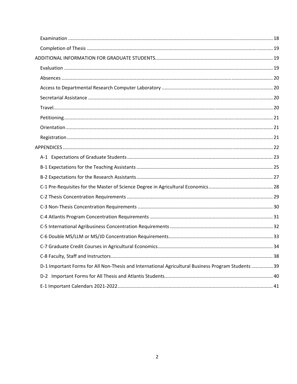| D-1 Important Forms for All Non-Thesis and International Agricultural Business Program Students  39 |  |
|-----------------------------------------------------------------------------------------------------|--|
|                                                                                                     |  |
|                                                                                                     |  |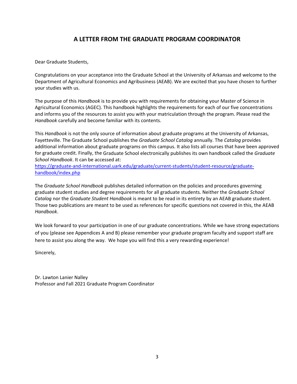#### **A LETTER FROM THE GRADUATE PROGRAM COORDINATOR**

Dear Graduate Students,

Congratulations on your acceptance into the Graduate School at the University of Arkansas and welcome to the Department of Agricultural Economics and Agribusiness (AEAB). We are excited that you have chosen to further your studies with us.

The purpose of this *Handbook* is to provide you with requirements for obtaining your Master of Science in Agricultural Economics (AGEC). This handbook highlights the requirements for each of our five concentrations and informs you of the resources to assist you with your matriculation through the program. Please read the *Handbook* carefully and become familiar with its contents.

This *Handbook* is not the only source of information about graduate programs at the University of Arkansas, Fayetteville. The Graduate School publishes the *Graduate School Catalog* annually. The *Catalog* provides additional information about graduate programs on this campus. It also lists all courses that have been approved for graduate credit. Finally, the Graduate School electronically publishes its own handbook called the *Graduate School Handbook*. It can be accessed at:

https://graduate-and-international.uark.edu/graduate/current-students/student-resource/graduatehandbook/index.php

The *Graduate School Handbook* publishes detailed information on the policies and procedures governing graduate student studies and degree requirements for all graduate students. Neither the *Graduate School Catalog* nor the *Graduate Student Handbook* is meant to be read in its entirety by an AEAB graduate student. Those two publications are meant to be used as references for specific questions not covered in this, the AEAB *Handbook*.

We look forward to your participation in one of our graduate concentrations. While we have strong expectations of you (please see Appendices A and B) please remember your graduate program faculty and support staff are here to assist you along the way. We hope you will find this a very rewarding experience!

Sincerely,

Dr. Lawton Lanier Nalley Professor and Fall 2021 Graduate Program Coordinator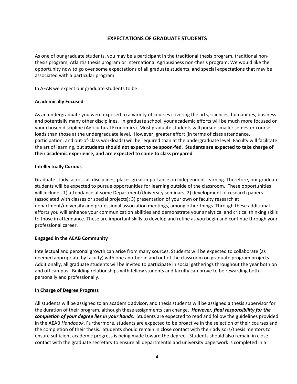#### **EXPECTATIONS OF GRADUATE STUDENTS**

As one of our graduate students, you may be a participant in the traditional thesis program, traditional non‐ thesis program, Atlantis thesis program or International Agribusiness non‐thesis program. We would like the opportunity now to go over some expectations of all graduate students, and special expectations that may be associated with a particular program.

In AEAB we expect our graduate students to be:

#### **Academically Focused**

As an undergraduate you were exposed to a variety of courses covering the arts, sciences, humanities, business and potentially many other disciplines. In graduate school, your academic efforts will be much more focused on your chosen discipline (Agricultural Economics). Most graduate students will pursue smaller semester course loads than those at the undergraduate level. However, greater effort (in terms of class attendance, participation, and out‐of‐class workloads) will be required than at the undergraduate level. Faculty will facilitate the art of learning, but **students should not expect to be spoon‐fed**. **Students are expected to take charge of their academic experience, and are expected to come to class prepared**.

#### **Intellectually Curious**

Graduate study, across all disciplines, places great importance on independent learning. Therefore, our graduate students will be expected to pursue opportunities for learning outside of the classroom. These opportunities will include: 1) attendance at some Department/University seminars; 2) development of research papers (associated with classes or special projects); 3) presentation of your own or faculty research at department/university and professional association meetings, among other things. Through these additional efforts you will enhance your communication abilities and demonstrate your analytical and critical thinking skills to those in attendance. These are important skills to develop and refine as you begin and continue through your professional career.

#### **Engaged in the AEAB Community**

Intellectual and personal growth can arise from many sources. Students will be expected to collaborate (as deemed appropriate by faculty) with one another in and out of the classroom on graduate program projects. Additionally, all graduate students will be invited to participate in social gatherings throughout the year both on and off campus. Building relationships with fellow students and faculty can prove to be rewarding both personally and professionally.

#### **In Charge of Degree Progress**

All students will be assigned to an academic advisor, and thesis students will be assigned a thesis supervisor for the duration of their program, although these assignments can change. *However, final responsibility for the completion of your degree lies in your hands.* Students are expected to read and follow the guidelines provided in the AEAB *Handbook*. Furthermore, students are expected to be proactive in the selection of their courses and the completion of their thesis. Students should remain in close contact with their advisors/thesis mentors to ensure sufficient academic progress is being made toward the degree. Students should also remain in close contact with the graduate secretary to ensure all departmental and university paperwork is completed in a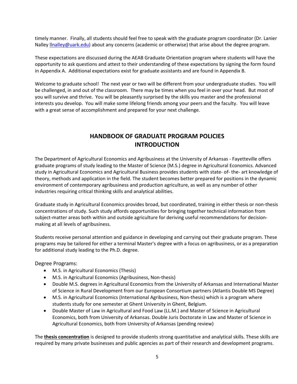timely manner. Finally, all students should feel free to speak with the graduate program coordinator (Dr. Lanier Nalley **llnalley@uark.edu**) about any concerns (academic or otherwise) that arise about the degree program.

These expectations are discussed during the AEAB Graduate Orientation program where students will have the opportunity to ask questions and attest to their understanding of these expectations by signing the form found in Appendix A. Additional expectations exist for graduate assistants and are found in Appendix B.

Welcome to graduate school! The next year or two will be different from your undergraduate studies. You will be challenged, in and out of the classroom. There may be times when you feel in over your head. But most of you will survive and thrive. You will be pleasantly surprised by the skills you master and the professional interests you develop. You will make some lifelong friends among your peers and the faculty. You will leave with a great sense of accomplishment and prepared for your next challenge.

#### **HANDBOOK OF GRADUATE PROGRAM POLICIES INTRODUCTION**

The Department of Agricultural Economics and Agribusiness at the University of Arkansas ‐ Fayetteville offers graduate programs of study leading to the Master of Science (M.S.) degree in Agricultural Economics. Advanced study in Agricultural Economics and Agricultural Business provides students with state‐ of‐ the‐ art knowledge of theory, methods and application in the field. The student becomes better prepared for positions in the dynamic environment of contemporary agribusiness and production agriculture, as well as any number of other industries requiring critical thinking skills and analytical abilities.

Graduate study in Agricultural Economics provides broad, but coordinated, training in either thesis or non‐thesis concentrations of study. Such study affords opportunities for bringing together technical information from subject-matter areas both within and outside agriculture for deriving useful recommendations for decisionmaking at all levels of agribusiness.

Students receive personal attention and guidance in developing and carrying out their graduate program. These programs may be tailored for either a terminal Master's degree with a focus on agribusiness, or as a preparation for additional study leading to the Ph.D. degree.

Degree Programs:

- M.S. in Agricultural Economics (Thesis)
- M.S. in Agricultural Economics (Agribusiness, Non-thesis)
- Double M.S. degrees in Agricultural Economics from the University of Arkansas and International Master of Science in Rural Development from our European Consortium partners (Atlantis Double MS Degree)
- M.S. in Agricultural Economics (International Agribusiness, Non-thesis) which is a program where students study for one semester at Ghent University in Ghent, Belgium.
- Double Master of Law in Agricultural and Food Law (LL.M.) and Master of Science in Agricultural Economics, both from University of Arkansas. Double Juris Doctorate in Law and Master of Science in Agricultural Economics, both from University of Arkansas (pending review)

The **thesis concentration** is designed to provide students strong quantitative and analytical skills. These skills are required by many private businesses and public agencies as part of their research and development programs.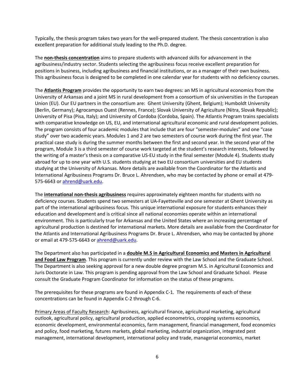Typically, the thesis program takes two years for the well‐prepared student. The thesis concentration is also excellent preparation for additional study leading to the Ph.D. degree.

The **non‐thesis concentration** aims to prepare students with advanced skills for advancement in the agribusiness/industry sector. Students selecting the agribusiness focus receive excellent preparation for positions in business, including agribusiness and financial institutions, or as a manager of their own business. This agribusiness focus is designed to be completed in one calendar year for students with no deficiency courses.

The **Atlantis Program** provides the opportunity to earn two degrees: an MS in agricultural economics from the University of Arkansas and a joint MS in rural development from a consortium of six universities in the European Union (EU). Our EU partners in the consortium are: Ghent University (Ghent, Belgium); Humboldt University (Berlin, Germany); Agrocampus Ouest (Rennes, France); Slovak University of Agriculture (Nitra, Slovak Republic); University of Pisa (Pisa, Italy); and University of Cordoba (Cordoba, Spain). The Atlantis Program trains specialists with comparative knowledge on US, EU, and international agricultural economic and rural development policies. The program consists of four academic modules that include that are four "semester‐modules" and one "case study" over two academic years. Modules 1 and 2 are two semesters of course work during the first year. The practical case study is during the summer months between the first and second year. In the second year of the program, Module 3 is a third semester of course work targeted at the student's research interests, followed by the writing of a master's thesis on a comparative US‐EU study in the final semester (Module 4). Students study abroad for up to one year with U.S. students studying at two EU consortium universities and EU students studying at the University of Arkansas. More details are available from the Coordinator for the Atlantis and International Agribusiness Programs Dr. Bruce L. Ahrendsen, who may be contacted by phone or email at 479‐ 575‐6643 or ahrend@uark.edu.

The **international non‐thesis agribusiness** requires approximately eighteen months for students with no deficiency courses. Students spend two semesters at UA‐Fayetteville and one semester at Ghent University as part of the international agribusiness focus. This unique international exposure for students enhances their education and development and is critical since all national economies operate within an international environment. This is particularly true for Arkansas and the United States where an increasing percentage of agricultural production is destined for international markets. More details are available from the Coordinator for the Atlantis and International Agribusiness Programs Dr. Bruce L. Ahrendsen, who may be contacted by phone or email at 479-575-6643 or ahrend@uark.edu.

The Department also has participated in a **double M.S in Agricultural Economics and Masters in Agricultural and Food Law Program**. This program is currently under review with the Law School and the Graduate School. The Department is also seeking approval for a new double degree program M.S. in Agricultural Economics and Juris Doctorate in Law. This program is pending approval from the Law School and Graduate School. Please consult the Graduate Program Coordinator for information on the status of these programs.

The prerequisites for these programs are found in Appendix C‐1. The requirements of each of these concentrations can be found in Appendix C‐2 through C‐6.

Primary Areas of Faculty Research: Agribusiness, agricultural finance, agricultural marketing, agricultural outlook, agricultural policy, agricultural production, applied econometrics, cropping systems economics, economic development, environmental economics, farm management, financial management, food economics and policy, food marketing, futures markets, global marketing, industrial organization, integrated pest management, international development, international policy and trade, managerial economics, market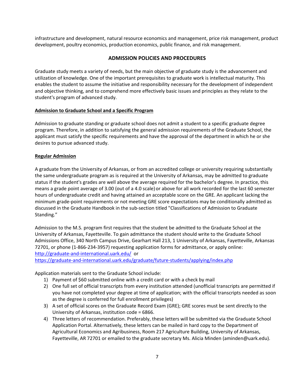infrastructure and development, natural resource economics and management, price risk management, product development, poultry economics, production economics, public finance, and risk management.

#### **ADMISSION POLICIES AND PROCEDURES**

Graduate study meets a variety of needs, but the main objective of graduate study is the advancement and utilization of knowledge. One of the important prerequisites to graduate work is intellectual maturity. This enables the student to assume the initiative and responsibility necessary for the development of independent and objective thinking, and to comprehend more effectively basic issues and principles as they relate to the student's program of advanced study.

#### **Admission to Graduate School and a Specific Program**

Admission to graduate standing or graduate school does not admit a student to a specific graduate degree program. Therefore, in addition to satisfying the general admission requirements of the Graduate School, the applicant must satisfy the specific requirements and have the approval of the department in which he or she desires to pursue advanced study.

#### **Regular Admission**

A graduate from the University of Arkansas, or from an accredited college or university requiring substantially the same undergraduate program as is required at the University of Arkansas, may be admitted to graduate status if the student's grades are well above the average required for the bachelor's degree. In practice, this means a grade point average of 3.00 (out of a 4.0 scale) or above for all work recorded for the last 60 semester hours of undergraduate credit and having attained an acceptable score on the GRE. An applicant lacking the minimum grade‐point requirements or not meeting GRE score expectations may be conditionally admitted as discussed in the Graduate Handbook in the sub‐section titled "Classifications of Admission to Graduate Standing."

Admission to the M.S. program first requires that the student be admitted to the Graduate School at the University of Arkansas, Fayetteville. To gain admittance the student should write to the Graduate School Admissions Office, 340 North Campus Drive, Gearhart Hall 213, 1 University of Arkansas, Fayetteville, Arkansas 72701, or phone (1‐866‐234‐3957) requesting application forms for admittance, or apply online: http://graduate‐and‐international.uark.edu/ or

https://graduate‐and‐international.uark.edu/graduate/future‐students/applying/index.php

Application materials sent to the Graduate School include:

- 1) Payment of \$60 submitted online with a credit card or with a check by mail
- 2) One full set of official transcripts from every institution attended (unofficial transcripts are permitted if you have not completed your degree at time of application; with the official transcripts needed as soon as the degree is conferred for full enrollment privileges)
- 3) A set of official scores on the Graduate Record Exam (GRE); GRE scores must be sent directly to the University of Arkansas, institution code = 6866.
- 4) Three letters of recommendation. Preferably, these letters will be submitted via the Graduate School Application Portal. Alternatively, these letters can be mailed in hard copy to the Department of Agricultural Economics and Agribusiness, Room 217 Agriculture Building, University of Arkansas, Fayetteville, AR 72701 or emailed to the graduate secretary Ms. Alicia Minden (aminden@uark.edu).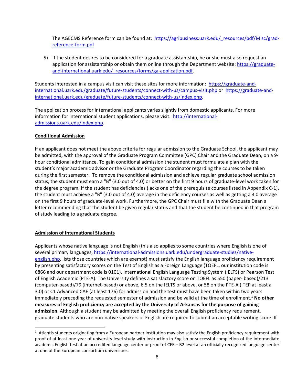The AGECMS Reference form can be found at: https://agribusiness.uark.edu/\_resources/pdf/Misc/grad‐ reference‐form.pdf

5) If the student desires to be considered for a graduate assistantship, he or she must also request an application for assistantship or obtain them online through the Department website: https://graduate‐ and-international.uark.edu/ resources/forms/ga-application.pdf.

Students interested in a campus visit can visit these sites for more information: https://graduate‐and‐ international.uark.edu/graduate/future-students/connect-with-us/campus-visit.php or https://graduate-andinternational.uark.edu/graduate/future-students/connect-with-us/index.php.

The application process for international applicants varies slightly from domestic applicants. For more information for international student applications, please visit: http://internationaladmissions.uark.edu/index.php.

#### **Conditional Admission**

If an applicant does not meet the above criteria for regular admission to the Graduate School, the applicant may be admitted, with the approval of the Graduate Program Committee (GPC) Chair and the Graduate Dean, on a 9‐ hour conditional admittance. To gain conditional admission the student must formulate a plan with the student's major academic advisor or the Graduate Program Coordinator regarding the courses to be taken during the first semester. To remove the conditional admission and achieve regular graduate school admission status, the student must earn a "B" (3.0 out of 4.0) or better on the first 9 hours of graduate‐level work taken for the degree program. If the student has deficiencies (lacks one of the prerequisite courses listed in Appendix C‐1), the student must achieve a "B" (3.0 out of 4.0) average in the deficiency courses as well as getting a 3.0 average on the first 9 hours of graduate‐level work. Furthermore, the GPC Chair must file with the Graduate Dean a letter recommending that the student be given regular status and that the student be continued in that program of study leading to a graduate degree.

#### **Admission of International Students**

Applicants whose native language is not English (this also applies to some countries where English is one of several primary languages, https://international-admissions.uark.edu/undergraduate-studies/nativeenglish.php, lists those countries which are exempt) must satisfy the English language proficiency requirement by presenting satisfactory scores on the Test of English as a Foreign Language (TOEFL, our institution code is 6866 and our department code is 0101), International English Language Testing System (IELTS) or Pearson Test of English Academic (PTE‐A). The University defines a satisfactory score on TOEFL as 550 (paper‐ based)/213 (computer‐based)/79 (internet‐based) or above, 6.5 on the IELTS or above, or 58 on the PTE‐A (ITEP at least a 3.0) or C1 Advanced CAE (at least 176) for admission and the test must have been taken within two years immediately preceding the requested semester of admission and be valid at the time of enrollment.1 **No other measures of English proficiency are accepted by the University of Arkansas for the purpose of gaining admission**. Although a student may be admitted by meeting the overall English proficiency requirement, graduate students who are non‐native speakers of English are required to submit an acceptable writing score. If

 $1$  Atlantis students originating from a European partner institution may also satisfy the English proficiency requirement with proof of at least one year of university level study with instruction in English or successful completion of the intermediate academic English test at an accredited language center or proof of CFE – B2 level at an officially recognized language center at one of the European consortium universities.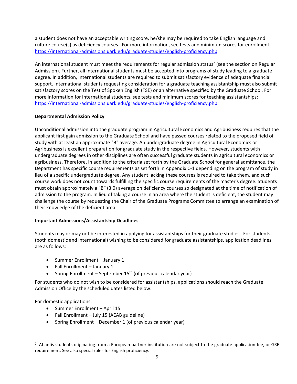a student does not have an acceptable writing score, he/she may be required to take English language and culture course(s) as deficiency courses. For more information, see tests and minimum scores for enrollment: https://international‐admissions.uark.edu/graduate‐studies/english‐proficiency.php

An international student must meet the requirements for regular admission status<sup>2</sup> (see the section on Regular Admission). Further, all international students must be accepted into programs of study leading to a graduate degree. In addition, international students are required to submit satisfactory evidence of adequate financial support. International students requesting consideration for a graduate teaching assistantship must also submit satisfactory scores on the Test of Spoken English (TSE) or an alternative specified by the Graduate School. For more information for international students, see tests and minimum scores for teaching assistantships: https://international‐admissions.uark.edu/graduate‐studies/english‐proficiency.php.

#### **Departmental Admission Policy**

Unconditional admission into the graduate program in Agricultural Economics and Agribusiness requires that the applicant first gain admission to the Graduate School and have passed courses related to the proposed field of study with at least an approximate "B" average. An undergraduate degree in Agricultural Economics or Agribusiness is excellent preparation for graduate study in the respective fields. However, students with undergraduate degrees in other disciplines are often successful graduate students in agricultural economics or agribusiness. Therefore, in addition to the criteria set forth by the Graduate School for general admittance, the Department has specific course requirements as set forth in Appendix C‐1 depending on the program of study in lieu of a specific undergraduate degree. Any student lacking these courses is required to take them, and such course work does not count towards fulfilling the specific course requirements of the master's degree. Students must obtain approximately a "B" (3.0) average on deficiency courses so designated at the time of notification of admission to the program. In lieu of taking a course in an area where the student is deficient, the student may challenge the course by requesting the Chair of the Graduate Programs Committee to arrange an examination of their knowledge of the deficient area.

#### **Important Admissions/Assistantship Deadlines**

Students may or may not be interested in applying for assistantships for their graduate studies. For students (both domestic and international) wishing to be considered for graduate assistantships, application deadlines are as follows:

- Summer Enrollment January 1
- Fall Enrollment January 1
- Spring Enrollment September  $15<sup>th</sup>$  (of previous calendar year)

For students who do not wish to be considered for assistantships, applications should reach the Graduate Admission Office by the scheduled dates listed below.

For domestic applications:

- Summer Enrollment April 15
- Fall Enrollment July 15 (AEAB guideline)
- Spring Enrollment December 1 (of previous calendar year)

 $^2$  Atlantis students originating from a European partner institution are not subject to the graduate application fee, or GRE requirement. See also special rules for English proficiency.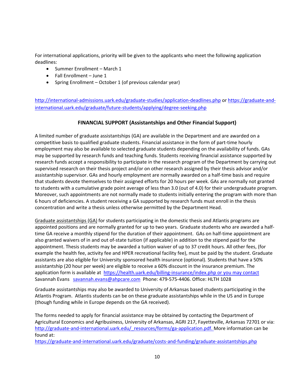For international applications, priority will be given to the applicants who meet the following application deadlines:

- Summer Enrollment March 1
- $\bullet$  Fall Enrollment June 1
- Spring Enrollment October 1 (of previous calendar year)

http://international-admissions.uark.edu/graduate-studies/application-deadlines.php or https://graduate-andinternational.uark.edu/graduate/future-students/applying/degree-seeking.php

#### **FINANCIAL SUPPORT (Assistantships and Other Financial Support)**

A limited number of graduate assistantships (GA) are available in the Department and are awarded on a competitive basis to qualified graduate students. Financial assistance in the form of part‐time hourly employment may also be available to selected graduate students depending on the availability of funds. GAs may be supported by research funds and teaching funds. Students receiving financial assistance supported by research funds accept a responsibility to participate in the research program of the Department by carrying out supervised research on their thesis project and/or on other research assigned by their thesis advisor and/or assistantship supervisor. GAs and hourly employment are normally awarded on a half‐time basis and require that students devote themselves to their assigned efforts for 20 hours per week. GAs are normally not granted to students with a cumulative grade point average of less than 3.0 (out of 4.0) for their undergraduate program. Moreover, such appointments are not normally made to students initially entering the program with more than 6 hours of deficiencies. A student receiving a GA supported by research funds must enroll in the thesis concentration and write a thesis unless otherwise permitted by the Department Head.

Graduate assistantships (GA) for students participating in the domestic thesis and Atlantis programs are appointed positions and are normally granted for up to two years. Graduate students who are awarded a half‐ time GA receive a monthly stipend for the duration of their appointment. GAs on half-time appointment are also granted waivers of in and out of‐state tuition (if applicable) in addition to the stipend paid for the appointment. Thesis students may be awarded a tuition waiver of up to 37 credit hours. All other fees, (for example the health fee, activity fee and HPER recreational facility fee), must be paid by the student. Graduate assistants are also eligible for University sponsored health insurance (optional). Students that have a 50% assistantship (20 hour per week) are eligible to receive a 60% discount in the insurance premium. The application form is available at https://health.uark.edu/billing‐insurance/index.php or you may contact Savannah Evans savannah.evans@ahpcare.com Phone: 479-575-4406. Office: HLTH 1028

Graduate assistantships may also be awarded to University of Arkansas based students participating in the Atlantis Program. Atlantis students can be on these graduate assistantships while in the US and in Europe (though funding while in Europe depends on the GA received).

The forms needed to apply for financial assistance may be obtained by contacting the Department of Agricultural Economics and Agribusiness, University of Arkansas, AGRI 217, Fayetteville, Arkansas 72701 or via: http://graduate-and-international.uark.edu/\_resources/forms/ga-application.pdf. More information can be found at:

https://graduate-and-international.uark.edu/graduate/costs-and-funding/graduate-assistantships.php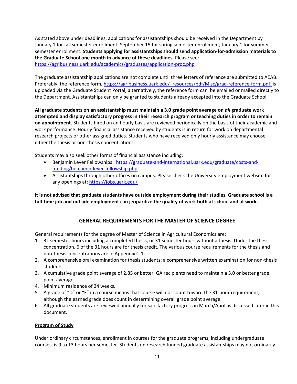As stated above under deadlines, applications for assistantships should be received in the Department by January 1 for fall semester enrollment; September 15 for spring semester enrollment; January 1 for summer semester enrollment. **Students applying for assistantships should send application‐for‐admission materials to the Graduate School one month in advance of these deadlines**. Please see: https://agribusiness.uark.edu/academics/graduates/application-proc.php

The graduate assistantship applications are not complete until three letters of reference are submitted to AEAB. Preferably, the reference form, https://agribusiness.uark.edu/\_resources/pdf/Misc/grad-reference-form.pdf, is uploaded via the Graduate Student Portal, alternatively, the reference form can be emailed or mailed directly to the Department. Assistantships can only be granted to students already accepted into the Graduate School.

**All graduate students on an assistantship must maintain a 3.0 grade point average on** *all* **graduate work attempted and display satisfactory progress in their research program or teaching duties in order to remain on appointment.** Students hired on an hourly basis are reviewed periodically on the basis of their academic and work performance. Hourly financial assistance received by students is in return for work on departmental research projects or other assigned duties. Students who have received only hourly assistance may choose either the thesis or non-thesis concentrations.

Students may also seek other forms of financial assistance including:

- Benjamin Lever Fellowships: https://graduate-and-international.uark.edu/graduate/costs-andfunding/benjamin‐lever‐fellowship.php
- Assistantships through other offices on campus. Please check the University employment website for any openings at: https://jobs.uark.edu/

It is not advised that graduate students have outside employment during their studies. Graduate school is a full-time job and outside employment can jeopardize the quality of work both at school and at work.

#### **GENERAL REQUIREMENTS FOR THE MASTER OF SCIENCE DEGREE**

General requirements for the degree of Master of Science in Agricultural Economics are:

- 1. 31 semester hours including a completed thesis, or 31 semester hours without a thesis. Under the thesis concentration, 6 of the 31 hours are for thesis credit. The various course requirements for the thesis and non‐thesis concentrations are in Appendix C‐1.
- 2. A comprehensive oral examination for thesis students; a comprehensive written examination for non-thesis students.
- 3. A cumulative grade point average of 2.85 or better. GA recipients need to maintain a 3.0 or better grade point average.
- 4. Minimum residence of 24 weeks.
- 5. A grade of "D" or "F" in a course means that course will not count toward the 31-hour requirement, although the earned grade does count in determining overall grade point average.
- 6. All graduate students are reviewed annually for satisfactory progress in March/April as discussed later in this document.

#### **Program of Study**

Under ordinary circumstances, enrollment in courses for the graduate programs, including undergraduate courses, is 9 to 13 hours per semester. Students on research funded graduate assistantships may not ordinarily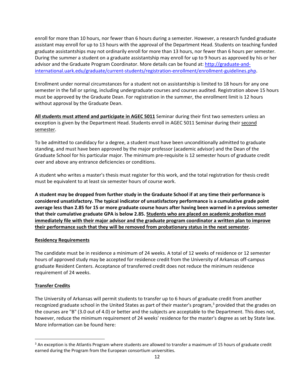enroll for more than 10 hours, nor fewer than 6 hours during a semester. However, a research funded graduate assistant may enroll for up to 13 hours with the approval of the Department Head. Students on teaching funded graduate assistantships may not ordinarily enroll for more than 13 hours, nor fewer than 6 hours per semester. During the summer a student on a graduate assistantship may enroll for up to 9 hours as approved by his or her advisor and the Graduate Program Coordinator. More details can be found at: http://graduate-andinternational.uark.edu/graduate/current‐students/registration‐enrollment/enrollment‐guidelines.php.

Enrollment under normal circumstances for a student not on assistantship is limited to 18 hours for any one semester in the fall or spring, including undergraduate courses and courses audited. Registration above 15 hours must be approved by the Graduate Dean. For registration in the summer, the enrollment limit is 12 hours without approval by the Graduate Dean.

**All students must attend and participate in AGEC 5011** Seminar during their first two semesters unless an exception is given by the Department Head. Students enroll in AGEC 5011 Seminar during their second semester.

To be admitted to candidacy for a degree, a student must have been unconditionally admitted to graduate standing, and must have been approved by the major professor (academic advisor) and the Dean of the Graduate School for his particular major. The minimum pre‐requisite is 12 semester hours of graduate credit over and above any entrance deficiencies or conditions.

A student who writes a master's thesis must register for this work, and the total registration for thesis credit must be equivalent to at least six semester hours of course work.

A student may be dropped from further study in the Graduate School if at any time their performance is **considered unsatisfactory. The typical indicator of unsatisfactory performance is a cumulative grade point** average less than 2.85 for 15 or more graduate course hours after having been warned in a previous semester **that their cumulative graduate GPA is below 2.85. Students who are placed on academic probation must immediately file with their major advisor and the graduate program coordinator a written plan to improve their performance such that they will be removed from probationary status in the next semester.** 

#### **Residency Requirements**

The candidate must be in residence a minimum of 24 weeks. A total of 12 weeks of residence or 12 semester hours of approved study may be accepted for residence credit from the University of Arkansas off‐campus graduate Resident Centers. Acceptance of transferred credit does not reduce the minimum residence requirement of 24 weeks.

#### **Transfer Credits**

The University of Arkansas will permit students to transfer up to 6 hours of graduate credit from another recognized graduate school in the United States as part of their master's program,<sup>3</sup> provided that the grades on the courses are "B" (3.0 out of 4.0) or better and the subjects are acceptable to the Department. This does not, however, reduce the minimum requirement of 24 weeks' residence for the master's degree as set by State law. More information can be found here:

 $3$  An exception is the Atlantis Program where students are allowed to transfer a maximum of 15 hours of graduate credit earned during the Program from the European consortium universities.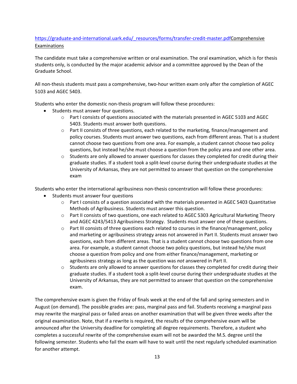#### https://graduate-and-international.uark.edu/\_resources/forms/transfer-credit-master.pdfComprehensive Examinations

The candidate must take a comprehensive written or oral examination. The oral examination, which is for thesis students only, is conducted by the major academic advisor and a committee approved by the Dean of the Graduate School.

All non-thesis students must pass a comprehensive, two-hour written exam only after the completion of AGEC 5103 and AGEC 5403.

Students who enter the domestic non-thesis program will follow these procedures:

- Students must answer four questions.
	- o Part I consists of questions associated with the materials presented in AGEC 5103 and AGEC 5403. Students must answer both questions.
	- o Part II consists of three questions, each related to the marketing, finance/management and policy courses. Students must answer two questions, each from different areas. That is a student cannot choose two questions from one area. For example, a student cannot choose two policy questions, but instead he/she must choose a question from the policy area and one other area.
	- $\circ$  Students are only allowed to answer questions for classes they completed for credit during their graduate studies. If a student took a split-level course during their undergraduate studies at the University of Arkansas, they are not permitted to answer that question on the comprehensive exam

Students who enter the international agribusiness non-thesis concentration will follow these procedures:

- Students must answer four questions
	- o Part I consists of a question associated with the materials presented in AGEC 5403 Quantitative Methods of Agribusiness. Students must answer this question.
	- o Part II consists of two questions, one each related to AGEC 5303 Agricultural Marketing Theory and AGEC 4243/5413 Agribusiness Strategy. Students must answer one of these questions.
	- $\circ$  Part III consists of three questions each related to courses in the finance/management, policy and marketing or agribusiness strategy areas not answered in Part II. Students must answer two questions, each from different areas. That is a student cannot choose two questions from one area. For example, a student cannot choose two policy questions, but instead he/she must choose a question from policy and one from either finance/management, marketing or agribusiness strategy as long as the question was *not* answered in Part II.
	- $\circ$  Students are only allowed to answer questions for classes they completed for credit during their graduate studies. If a student took a split‐level course during their undergraduate studies at the University of Arkansas, they are not permitted to answer that question on the comprehensive exam.

The comprehensive exam is given the Friday of finals week at the end of the fall and spring semesters and in August (on demand). The possible grades are: pass, marginal pass and fail. Students receiving a marginal pass may rewrite the marginal pass or failed areas on another examination that will be given three weeks after the original examination. Note, that if a rewrite is required, the results of the comprehensive exam will be announced after the University deadline for completing all degree requirements. Therefore, a student who completes a successful rewrite of the comprehensive exam will not be awarded the M.S. degree until the following semester. Students who fail the exam will have to wait until the next regularly scheduled examination for another attempt.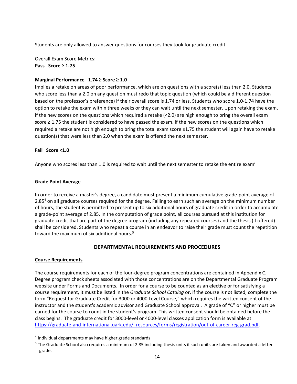Students are only allowed to answer questions for courses they took for graduate credit.

Overall Exam Score Metrics: **Pass Score ≥ 1.75**

#### **Marginal Performance 1.74 ≥ Score ≥ 1.0**

Implies a retake on areas of poor performance, which are on questions with a score(s) less than 2.0. Students who score less than a 2.0 on any question must redo that topic question (which could be a different question based on the professor's preference) if their overall score is 1.74 or less. Students who score 1.0‐1.74 have the option to retake the exam within three weeks or they can wait until the next semester. Upon retaking the exam, if the new scores on the questions which required a retake (<2.0) are high enough to bring the overall exam score ≥ 1.75 the student is considered to have passed the exam. If the new scores on the questions which required a retake are not high enough to bring the total exam score ≥1.75 the student will again have to retake question(s) that were less than 2.0 when the exam is offered the next semester.

#### **Fail Score <1.0**

Anyone who scores less than 1.0 is required to wait until the next semester to retake the entire exam'

#### **Grade Point Average**

In order to receive a master's degree, a candidate must present a minimum cumulative grade‐point average of 2.85<sup>4</sup> on all graduate courses required for the degree. Failing to earn such an average on the minimum number of hours, the student is permitted to present up to six additional hours of graduate credit in order to accumulate a grade‐point average of 2.85. In the computation of grade point, all courses pursued at this institution for graduate credit that are part of the degree program (including any repeated courses) and the thesis (if offered) shall be considered. Students who repeat a course in an endeavor to raise their grade must count the repetition toward the maximum of six additional hours.<sup>5</sup>

#### **DEPARTMENTAL REQUIREMENTS AND PROCEDURES**

#### **Course Requirements**

The course requirements for each of the four-degree program concentrations are contained in Appendix C. Degree program check sheets associated with those concentrations are on the Departmental Graduate Program website under Forms and Documents. In order for a course to be counted as an elective or for satisfying a course requirement, it must be listed in the *Graduate School Catalog* or, if the course is not listed, complete the form "Request for Graduate Credit for 3000 or 4000 Level Course," which requires the written consent of the instructor and the student's academic advisor and Graduate School approval. A grade of "C" or higher must be earned for the course to count in the student's program. This written consent should be obtained before the class begins. The graduate credit for 3000‐level or 4000‐level classes application form is available at https://graduate-and-international.uark.edu/\_resources/forms/registration/out-of-career-reg-grad.pdf.

<sup>4</sup> Individual departments may have higher grade standards

 $5$  The Graduate School also requires a minimum of 2.85 including thesis units if such units are taken and awarded a letter grade.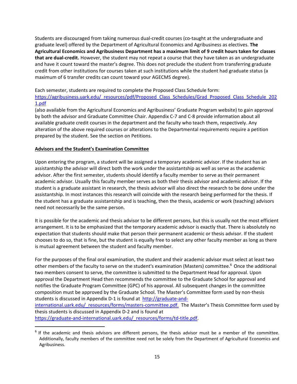Students are discouraged from taking numerous dual‐credit courses (co‐taught at the undergraduate and graduate level) offered by the Department of Agricultural Economics and Agribusiness as electives. **The Agricultural Economics and Agribusiness Department has a maximum limit of 9 credit hours taken for classes that are dual‐credit.** However, the student may not repeat a course that they have taken as an undergraduate and have it count toward the master's degree. This does not preclude the student from transferring graduate credit from other institutions for courses taken at such institutions while the student had graduate status (a maximum of 6 transfer credits can count toward your AGECMS degree).

Each semester, students are required to complete the Proposed Class Schedule form: https://agribusiness.uark.edu/\_resources/pdf/Proposed\_Class\_Schedules/Grad\_Proposed\_Class\_Schedule\_202 1.pdf

(also available from the Agricultural Economics and Agribusiness' Graduate Program website) to gain approval by both the advisor and Graduate Committee Chair. Appendix C‐7 and C‐8 provide information about all available graduate credit courses in the department and the faculty who teach them, respectively. Any alteration of the above required courses or alterations to the Departmental requirements require a petition prepared by the student. See the section on Petitions.

#### **Advisors and the Student's Examination Committee**

Upon entering the program, a student will be assigned a temporary academic advisor. If the student has an assistantship the advisor will direct both the work under the assistantship as well as serve as the academic advisor. After the first semester, students should identify a faculty member to serve as their permanent academic advisor. Usually this faculty member serves as both their thesis advisor and academic advisor. If the student is a graduate assistant in research, the thesis advisor will also direct the research to be done under the assistantship. In most instances this research will coincide with the research being performed for the thesis. If the student has a graduate assistantship and is teaching, then the thesis, academic or work (teaching) advisors need not necessarily be the same person.

It is possible for the academic and thesis advisor to be different persons, but this is usually not the most efficient arrangement. It is to be emphasized that the temporary academic advisor is exactly that. There is absolutely no expectation that students should make that person their permanent academic or thesis advisor. If the student chooses to do so, that is fine, but the student is equally free to select any other faculty member as long as there is mutual agreement between the student and faculty member.

For the purposes of the final oral examination, the student and their academic advisor must select at least two other members of the faculty to serve on the student's examination (Masters) committee.6 Once the additional two members consent to serve, the committee is submitted to the Department Head for approval. Upon approval the Department Head then recommends the committee to the Graduate School for approval and notifies the Graduate Program Committee (GPC) of his approval. All subsequent changes in the committee composition must be approved by the Graduate School. The Master's Committee form used by non‐thesis students is discussed in Appendix D‐1 is found at http://graduate‐and‐ international.uark.edu/\_resources/forms/masters-committee.pdf. The Master's Thesis Committee form used by thesis students is discussed in Appendix D‐2 and is found at https://graduate-and-international.uark.edu/ resources/forms/td-title.pdf.

 $6$  If the academic and thesis advisors are different persons, the thesis advisor must be a member of the committee. Additionally, faculty members of the committee need not be solely from the Department of Agricultural Economics and Agribusiness.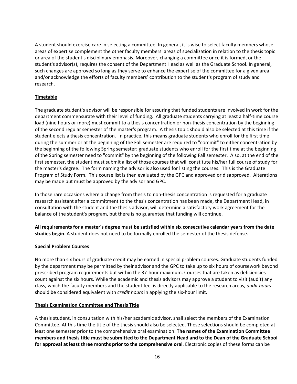A student should exercise care in selecting a committee. In general, it is wise to select faculty members whose areas of expertise complement the other faculty members' areas of specialization in relation to the thesis topic or area of the student's disciplinary emphasis. Moreover, changing a committee once it is formed, or the student's advisor(s), requires the consent of the Department Head as well as the Graduate School. In general, such changes are approved so long as they serve to enhance the expertise of the committee for a given area and/or acknowledge the efforts of faculty members' contribution to the student's program of study and research.

#### **Timetable**

The graduate student's advisor will be responsible for assuring that funded students are involved in work for the department commensurate with their level of funding. All graduate students carrying at least a half‐time course load (nine hours or more) must commit to a thesis concentration or non-thesis concentration by the beginning of the second regular semester of the master's program. A thesis topic should also be selected at this time if the student elects a thesis concentration. In practice, this means graduate students who enroll for the first time during the summer or at the beginning of the Fall semester are required to "commit" to either concentration by the beginning of the following Spring semester; graduate students who enroll for the first time at the beginning of the Spring semester need to "commit" by the beginning of the following Fall semester. Also, at the end of the first semester, the student must submit a list of those courses that will constitute his/her full course of study for the master's degree. The form naming the advisor is also used for listing the courses. This is the Graduate Program of Study Form. This course list is then evaluated by the GPC and approved or disapproved. Alterations may be made but must be approved by the advisor and GPC.

In those rare occasions where a change from thesis to non-thesis concentration is requested for a graduate research assistant after a commitment to the thesis concentration has been made, the Department Head, in consultation with the student and the thesis advisor, will determine a satisfactory work agreement for the balance of the student's program, but there is no guarantee that funding will continue.

All requirements for a master's degree must be satisfied within six consecutive calendar years from the date **studies begin**. A student does not need to be formally enrolled the semester of the thesis defense.

#### **Special Problem Courses**

No more than six hours of graduate credit may be earned in special problem courses. Graduate students funded by the department may be permitted by their advisor and the GPC to take up to six hours of coursework beyond prescribed program requirements but within the 37‐hour maximum. Courses that are taken as deficiencies count against the six hours. While the academic and thesis advisors may approve a student to visit (audit) any class, which the faculty members and the student feel is directly applicable to the research areas, *audit hours* should be considered equivalent with *credit hours* in applying the six‐hour limit.

#### **Thesis Examination Committee and Thesis Title**

A thesis student, in consultation with his/her academic advisor, shall select the members of the Examination Committee. At this time the title of the thesis should also be selected. These selections should be completed at least one semester prior to the comprehensive oral examination. **The names of the Examination Committee** members and thesis title must be submitted to the Department Head and to the Dean of the Graduate School **for approval at least three months prior to the comprehensive oral**. Electronic copies of these forms can be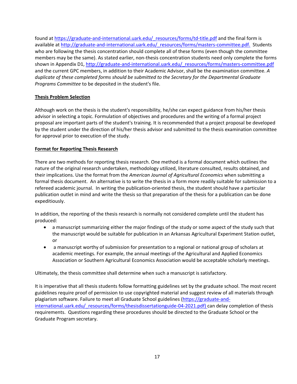found at https://graduate-and-international.uark.edu/\_resources/forms/td-title.pdf and the final form is available at http://graduate-and-international.uark.edu/\_resources/forms/masters-committee.pdf. Students who are following the thesis concentration should complete all of these forms (even though the committee members may be the same). As stated earlier, non-thesis concentration students need only complete the forms shown in Appendix D1, http://graduate-and-international.uark.edu/ resources/forms/masters-committee.pdf and the current GPC members, in addition to their Academic Advisor, shall be the examination committee. *A duplicate of these completed forms should be submitted to the Secretary for the Departmental Graduate Programs Committee* to be deposited in the student's file.

#### **Thesis Problem Selection**

Although work on the thesis is the student's responsibility, he/she can expect guidance from his/her thesis advisor in selecting a topic. Formulation of objectives and procedures and the writing of a formal project proposal are important parts of the student's training. It is recommended that a project proposal be developed by the student under the direction of his/her thesis advisor and submitted to the thesis examination committee for approval prior to execution of the study.

#### **Format for Reporting Thesis Research**

There are two methods for reporting thesis research. One method is a formal document which outlines the nature of the original research undertaken, methodology utilized, literature consulted, results obtained, and their implications. Use the format from the *American Journal of Agricultural Economics* when submitting a formal thesis document. An alternative is to write the thesis in a form more readily suitable for submission to a refereed academic journal. In writing the publication‐oriented thesis, the student should have a particular publication outlet in mind and write the thesis so that preparation of the thesis for a publication can be done expeditiously.

In addition, the reporting of the thesis research is normally not considered complete until the student has produced:

- a manuscript summarizing either the major findings of the study or some aspect of the study such that the manuscript would be suitable for publication in an Arkansas Agricultural Experiment Station outlet, or
- a manuscript worthy of submission for presentation to a regional or national group of scholars at academic meetings. For example, the annual meetings of the Agricultural and Applied Economics Association or Southern Agricultural Economics Association would be acceptable scholarly meetings.

Ultimately, the thesis committee shall determine when such a manuscript is satisfactory.

It is imperative that all thesis students follow formatting guidelines set by the graduate school. The most recent guidelines require proof of permission to use copyrighted material and suggest review of all materials through plagiarism software. Failure to meet all Graduate School guidelines (https://graduate‐and‐ international.uark.edu/\_resources/forms/thesisdissertationguide-04-2021.pdf) can delay completion of thesis requirements. Questions regarding these procedures should be directed to the Graduate School or the Graduate Program secretary.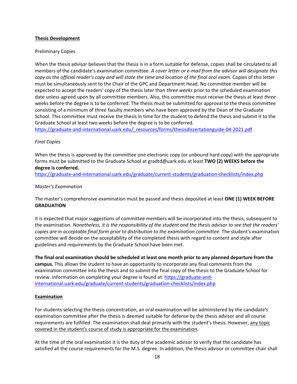#### **Thesis Development**

#### Preliminary Copies

When the thesis advisor believes that the thesis is in a form suitable for defense, copies shall be circulated to all members of the candidate's examination committee. *A cover letter or e‐mail from the advisor will designate this* copy as the official reader's copy and will state the time and location of the final oral exam. Copies of this letter must be simultaneously sent to the Chair of the GPC and Department Head. No committee member will be expected to accept the readers' copy of the thesis later than *three weeks* prior to the scheduled examination date unless agreed upon by all committee members. Also, this committee must receive the thesis at least *three* weeks before the degree is to be conferred. The thesis must be submitted for approval to the thesis committee consisting of a minimum of three faculty members who have been approved by the Dean of the Graduate School. This committee must receive the thesis in time for the student to defend the thesis and submit it to the Graduate School at least two weeks before the degree is to be conferred.

https://graduate-and-international.uark.edu/\_resources/forms/thesisdissertationguide-04-2021.pdf

#### *Final Copies*

When the thesis is approved by the committee one electronic copy (or unbound hard copy) with the appropriate forms must be submitted to the Graduate School at gradtd@uark.edu at least **TWO (2) WEEKS before the degree is conferred.**

https://graduate-and-international.uark.edu/graduate/current-students/graduation-checklists/index.php

#### *Master's Examination*

The master's comprehensive examination must be passed and thesis deposited at least **ONE (1) WEEK BEFORE GRADUATION**

It is expected that major suggestions of committee members will be incorporated into the thesis, subsequent to the examination. Nonetheless, it is the responsibility of the student and the thesis advisor to see that the readers' *copies are in acceptable final form prior to distribution to the examination committee*. The student's examination committee will decide on the acceptability of the completed thesis with regard to content and style after guidelines and requirements by the Graduate School have been met.

The final oral examination should be scheduled at least one month prior to any planned departure from the **campus.** This allows the student to have an opportunity to incorporate any final comments from the examination committee into the thesis and to submit the final copy of the thesis to the Graduate School for review. Information on completing your degree is found at: https://graduate-andinternational.uark.edu/graduate/current-students/graduation-checklists/index.php

#### **Examination**

For students selecting the thesis concentration, an oral examination will be administered by the candidate's examination committee after the thesis is deemed suitable for defense by the thesis advisor and all course requirements are fulfilled. The examination shall deal primarily with the student's thesis. However, any topic covered in the student's course of study is appropriate for the examination.

At the time of the oral examination it is the duty of the academic advisor to verify that the candidate has satisfied all the course requirements for the M.S. degree. In addition, the thesis advisor or committee chair shall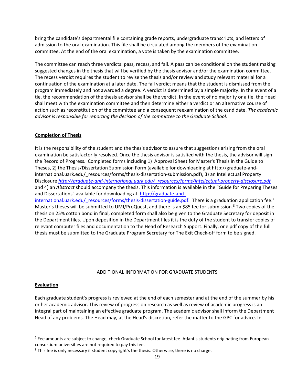bring the candidate's departmental file containing grade reports, undergraduate transcripts, and letters of admission to the oral examination. This file shall be circulated among the members of the examination committee. At the end of the oral examination, a vote is taken by the examination committee.

The committee can reach three verdicts: pass, recess, and fail. A pass can be conditional on the student making suggested changes in the thesis that will be verified by the thesis advisor and/or the examination committee. The recess verdict requires the student to revise the thesis and/or review and study relevant material for a continuation of the examination at a later date. The fail verdict means that the student is dismissed from the program immediately and not awarded a degree. A verdict is determined by a simple majority. In the event of a tie, the recommendation of the thesis advisor shall be the verdict. In the event of no majority or a tie, the Head shall meet with the examination committee and then determine either a verdict or an alternative course of action such as reconstitution of the committee and a consequent reexamination of the candidate. *The academic advisor is responsible for reporting the decision of the committee to the Graduate School.*

#### **Completion of Thesis**

It is the responsibility of the student and the thesis advisor to assure that suggestions arising from the oral examination be satisfactorily resolved. Once the thesis advisor is satisfied with the thesis, the advisor will sign the Record of Progress. Completed forms including 1) Approval Sheet for Master's Thesis in the Guide to Theses, 2) the Thesis/Dissertation Submission Form (available for downloading at http://graduate‐and‐ international.uark.edu/\_resources/forms/thesis‐dissertation‐submission.pdf), 3) an Intellectual Property Disclosure *http://graduate‐and‐international.uark.edu/\_resources/forms/intellectual‐property‐disclosure.pdf* and 4) an *Abstract* should accompany the thesis. This information is available in the "Guide for Preparing Theses and Dissertations" available for downloading at http://graduate-and-

international.uark.edu/\_resources/forms/thesis-dissertation-guide.pdf. There is a graduation application fee.<sup>7</sup> Master's theses will be submitted to UMI/ProQuest, and there is an \$85 fee for submission.<sup>8</sup> Two copies of the thesis on 25% cotton bond in final, completed form shall also be given to the Graduate Secretary for deposit in the Department files. Upon deposition in the Department files it is the duty of the student to transfer copies of relevant computer files and documentation to the Head of Research Support. Finally, one pdf copy of the full thesis must be submitted to the Graduate Program Secretary for The Exit Check‐off form to be signed.

#### ADDITIONAL INFORMATION FOR GRADUATE STUDENTS

#### **Evaluation**

Each graduate student's progress is reviewed at the end of each semester and at the end of the summer by his or her academic advisor. This review of progress on research as well as review of academic progress is an integral part of maintaining an effective graduate program. The academic advisor shall inform the Department Head of any problems. The Head may, at the Head's discretion, refer the matter to the GPC for advice. In

<sup>&</sup>lt;sup>7</sup> Fee amounts are subject to change, check Graduate School for latest fee. Atlantis students originating from European consortium universities are not required to pay this fee.

<sup>&</sup>lt;sup>8</sup> This fee is only necessary if student copyright's the thesis. Otherwise, there is no charge.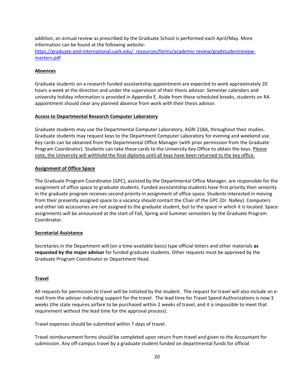addition, an annual review as prescribed by the Graduate School is performed each April/May. More information can be found at the following website:

https://graduate-and-international.uark.edu/\_resources/forms/academic-review/gradstudentreviewmasters.pdf

#### **Absences**

Graduate students on a research funded assistantship appointment are expected to work approximately 20 hours a week at the direction and under the supervision of their thesis advisor. Semester calendars and university holiday information is provided in Appendix E. Aside from these scheduled breaks, students on RA appointment should clear any planned absence from work with their thesis advisor.

#### **Access to Departmental Research Computer Laboratory**

Graduate students may use the Departmental Computer Laboratory, AGRI 218A, throughout their studies. Graduate students may request keys to the Department Computer Laboratory for evening and weekend use. Key cards can be obtained from the Departmental Office Manager (with prior permission from the Graduate Program Coordinator). Students can take these cards to the University Key Office to obtain the keys. Please note, the University will withhold the final diploma until all keys have been returned to the key office.

#### **Assignment of Office Space**

The Graduate Program Coordinator (GPC), assisted by the Departmental Office Manager, are responsible for the assignment of office space to graduate students. Funded assistantship students have first priority then seniority in the graduate program receives second priority in assignment of office space. Students interested in moving from their presently assigned space to a vacancy should contact the Chair of the GPC (Dr. Nalley). Computers and other lab accessories are not assigned to the graduate student, but to the space in which it is located. Space assignments will be announced at the start of Fall, Spring and Summer semesters by the Graduate Program Coordinator.

#### **Secretarial Assistance**

Secretaries in the Department will (on a time‐available basis) type official letters and other materials **as requested by the major advisor** for funded graduate students. Other requests must be approved by the Graduate Program Coordinator or Department Head.

#### **Travel**

All requests for permission to travel will be initiated by the student. The request for travel will also include an e‐ mail from the advisor indicating support for the travel. The lead time for Travel Spend Authorizations is now 3 weeks (the state requires airfare to be purchased within 2 weeks of travel, and it is impossible to meet that requirement without the lead time for the approval process).

Travel expenses should be submitted within 7 days of travel.

Travel reimbursement forms should be completed upon return from travel and given to the Accountant for submission. Any off‐campus travel by a graduate student funded on departmental funds for official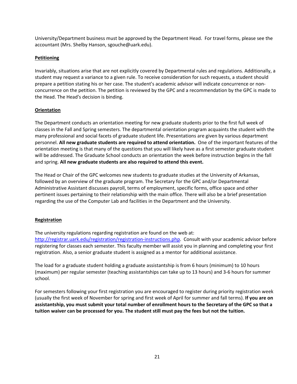University/Department business must be approved by the Department Head. For travel forms, please see the accountant (Mrs. Shelby Hanson, sgouche@uark.edu).

#### **Petitioning**

Invariably, situations arise that are not explicitly covered by Departmental rules and regulations. Additionally, a student may request a variance to a given rule. To receive consideration for such requests, a student should prepare a petition stating his or her case. The student's academic advisor will indicate concurrence or non‐ concurrence on the petition. The petition is reviewed by the GPC and a recommendation by the GPC is made to the Head. The Head's decision is binding.

#### **Orientation**

The Department conducts an orientation meeting for new graduate students prior to the first full week of classes in the Fall and Spring semesters. The departmental orientation program acquaints the student with the many professional and social facets of graduate student life. Presentations are given by various department personnel. **All new graduate students are required to attend orientation.** One of the important features of the orientation meeting is that many of the questions that you will likely have as a first semester graduate student will be addressed. The Graduate School conducts an orientation the week before instruction begins in the fall and spring. **All new graduate students are also required to attend this event.** 

The Head or Chair of the GPC welcomes new students to graduate studies at the University of Arkansas, followed by an overview of the graduate program. The Secretary for the GPC and/or Departmental Administrative Assistant discusses payroll, terms of employment, specific forms, office space and other pertinent issues pertaining to their relationship with the main office. There will also be a brief presentation regarding the use of the Computer Lab and facilities in the Department and the University.

#### **Registration**

The university regulations regarding registration are found on the web at: http://registrar.uark.edu/registration/registration-instructions.php. Consult with your academic advisor before registering for classes each semester. This faculty member will assist you in planning and completing your first registration. Also, a senior graduate student is assigned as a mentor for additional assistance.

The load for a graduate student holding a graduate assistantship is from 6 hours (minimum) to 10 hours (maximum) per regular semester (teaching assistantships can take up to 13 hours) and 3‐6 hours for summer school.

For semesters following your first registration you are encouraged to register during priority registration week (usually the first week of November for spring and first week of April for summer and fall terms). **If you are on** assistantship, you must submit your total number of enrollment hours to the Secretary of the GPC so that a **tuition waiver can be processed for you. The student still must pay the fees but not the tuition.**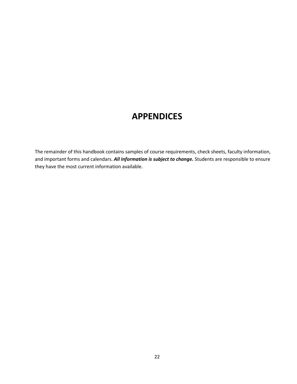### **APPENDICES**

The remainder of this handbook contains samples of course requirements, check sheets, faculty information, and important forms and calendars. *All information is subject to change.* Students are responsible to ensure they have the most current information available.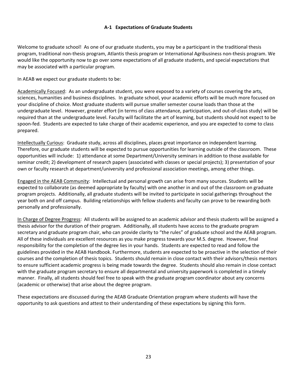#### **A‐1 Expectations of Graduate Students**

Welcome to graduate school! As one of our graduate students, you may be a participant in the traditional thesis program, traditional non‐thesis program, Atlantis thesis program or International Agribusiness non‐thesis program. We would like the opportunity now to go over some expectations of all graduate students, and special expectations that may be associated with a particular program.

In AEAB we expect our graduate students to be:

Academically Focused: As an undergraduate student, you were exposed to a variety of courses covering the arts, sciences, humanities and business disciplines. In graduate school, your academic efforts will be much more focused on your discipline of choice. Most graduate students will pursue smaller semester course loads than those at the undergraduate level. However, greater effort (in terms of class attendance, participation, and out‐of‐class study) will be required than at the undergraduate level. Faculty will facilitate the art of learning, but students should not expect to be spoon-fed. Students are expected to take charge of their academic experience, and you are expected to come to class prepared.

Intellectually Curious: Graduate study, across all disciplines, places great importance on independent learning. Therefore, our graduate students will be expected to pursue opportunities for learning outside of the classroom. These opportunities will include: 1) attendance at some Department/University seminars in addition to those available for seminar credit; 2) development of research papers (associated with classes or special projects); 3) presentation of your own or faculty research at department/university and professional association meetings, among other things.

Engaged in the AEAB Community: Intellectual and personal growth can arise from many sources. Students will be expected to collaborate (as deemed appropriate by faculty) with one another in and out of the classroom on graduate program projects. Additionally, all graduate students will be invited to participate in social gatherings throughout the year both on and off campus. Building relationships with fellow students and faculty can prove to be rewarding both personally and professionally.

In Charge of Degree Progress: All students will be assigned to an academic advisor and thesis students will be assigned a thesis advisor for the duration of their program. Additionally, all students have access to the graduate program secretary and graduate program chair, who can provide clarity to "the rules" of graduate school and the AEAB program. All of these individuals are excellent resources as you make progress towards your M.S. degree. However, final responsibility for the completion of the degree lies in your hands. Students are expected to read and follow the guidelines provided in the AEAB Handbook. Furthermore, students are expected to be proactive in the selection of their courses and the completion of thesis topics. Students should remain in close contact with their advisors/thesis mentors to ensure sufficient academic progress is being made towards the degree. Students should also remain in close contact with the graduate program secretary to ensure all departmental and university paperwork is completed in a timely manner. Finally, all students should feel free to speak with the graduate program coordinator about any concerns (academic or otherwise) that arise about the degree program.

These expectations are discussed during the AEAB Graduate Orientation program where students will have the opportunity to ask questions and attest to their understanding of these expectations by signing this form.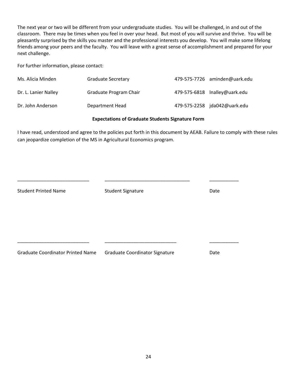The next year or two will be different from your undergraduate studies. You will be challenged, in and out of the classroom. There may be times when you feel in over your head. But most of you will survive and thrive. You will be pleasantly surprised by the skills you master and the professional interests you develop. You will make some lifelong friends among your peers and the faculty. You will leave with a great sense of accomplishment and prepared for your next challenge.

For further information, please contact:

| Ms. Alicia Minden    | <b>Graduate Secretary</b> | 479-575-7726 aminden@uark.edu |
|----------------------|---------------------------|-------------------------------|
| Dr. L. Lanier Nalley | Graduate Program Chair    | 479-575-6818 Inalley@uark.edu |
| Dr. John Anderson    | Department Head           | 479-575-2258 jda042@uark.edu  |

#### **Expectations of Graduate Students Signature Form**

I have read, understood and agree to the policies put forth in this document by AEAB. Failure to comply with these rules can jeopardize completion of the MS in Agricultural Economics program.

| <b>Student Printed Name</b>              | <b>Student Signature</b>              | Date |
|------------------------------------------|---------------------------------------|------|
|                                          |                                       |      |
|                                          |                                       |      |
|                                          |                                       |      |
|                                          |                                       |      |
|                                          |                                       |      |
|                                          |                                       |      |
| <b>Graduate Coordinator Printed Name</b> | <b>Graduate Coordinator Signature</b> | Date |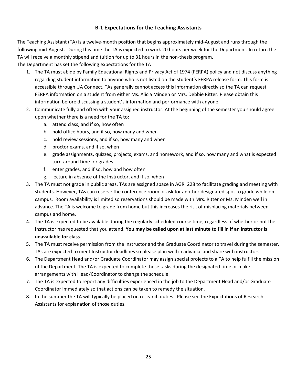#### **B‐1 Expectations for the Teaching Assistants**

The Teaching Assistant (TA) is a twelve‐month position that begins approximately mid‐August and runs through the following mid‐August. During this time the TA is expected to work 20 hours per week for the Department. In return the TA will receive a monthly stipend and tuition for up to 31 hours in the non-thesis program.

The Department has set the following expectations for the TA

- 1. The TA must abide by Family Educational Rights and Privacy Act of 1974 (FERPA) policy and not discuss anything regarding student information to anyone who is not listed on the student's FERPA release form. This form is accessible through UA Connect. TAs generally cannot access this information directly so the TA can request FERPA information on a student from either Ms. Alicia Minden or Mrs. Debbie Ritter. Please obtain this information before discussing a student's information and performance with anyone.
- 2. Communicate fully and often with your assigned instructor. At the beginning of the semester you should agree upon whether there is a need for the TA to:
	- a. attend class, and if so, how often
	- b. hold office hours, and if so, how many and when
	- c. hold review sessions, and if so, how many and when
	- d. proctor exams, and if so, when
	- e. grade assignments, quizzes, projects, exams, and homework, and if so, how many and what is expected turn‐around time for grades
	- f. enter grades, and if so, how and how often
	- g. lecture in absence of the Instructor, and if so, when
- 3. The TA must not grade in public areas. TAs are assigned space in AGRI 228 to facilitate grading and meeting with students. However, TAs can reserve the conference room or ask for another designated spot to grade while on campus. Room availability is limited so reservations should be made with Mrs. Ritter or Ms. Minden well in advance. The TA is welcome to grade from home but this increases the risk of misplacing materials between campus and home.
- 4. The TA is expected to be available during the regularly scheduled course time, regardless of whether or not the Instructor has requested that you attend. **You may be called upon at last minute to fill in if an instructor is unavailable for class**.
- 5. The TA must receive permission from the Instructor and the Graduate Coordinator to travel during the semester. TAs are expected to meet Instructor deadlines so please plan well in advance and share with instructors.
- 6. The Department Head and/or Graduate Coordinator may assign special projects to a TA to help fulfill the mission of the Department. The TA is expected to complete these tasks during the designated time or make arrangements with Head/Coordinator to change the schedule.
- 7. The TA is expected to report any difficulties experienced in the job to the Department Head and/or Graduate Coordinator immediately so that actions can be taken to remedy the situation.
- 8. In the summer the TA will typically be placed on research duties. Please see the Expectations of Research Assistants for explanation of those duties.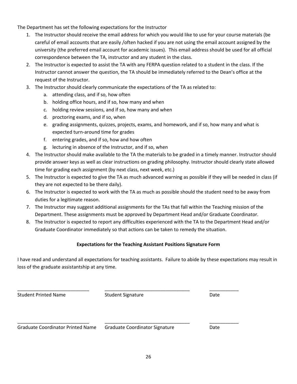The Department has set the following expectations for the Instructor

- 1. The Instructor should receive the email address for which you would like to use for your course materials (be careful of email accounts that are easily /often hacked if you are not using the email account assigned by the university (the preferred email account for academic issues). This email address should be used for all official correspondence between the TA, instructor and any student in the class.
- 2. The Instructor is expected to assist the TA with any FERPA question related to a student in the class. If the Instructor cannot answer the question, the TA should be immediately referred to the Dean's office at the request of the Instructor.
- 3. The Instructor should clearly communicate the expectations of the TA as related to:
	- a. attending class, and if so, how often
	- b. holding office hours, and if so, how many and when
	- c. holding review sessions, and if so, how many and when
	- d. proctoring exams, and if so, when
	- e. grading assignments, quizzes, projects, exams, and homework, and if so, how many and what is expected turn‐around time for grades
	- f. entering grades, and if so, how and how often
	- g. lecturing in absence of the Instructor, and if so, when
- 4. The Instructor should make available to the TA the materials to be graded in a timely manner. Instructor should provide answer keys as well as clear instructions on grading philosophy. Instructor should clearly state allowed time for grading each assignment (by next class, next week, etc.)
- 5. The Instructor is expected to give the TA as much advanced warning as possible if they will be needed in class (if they are not expected to be there daily).
- 6. The Instructor is expected to work with the TA as much as possible should the student need to be away from duties for a legitimate reason.
- 7. The Instructor may suggest additional assignments for the TAs that fall within the Teaching mission of the Department. These assignments must be approved by Department Head and/or Graduate Coordinator.
- 8. The Instructor is expected to report any difficulties experienced with the TA to the Department Head and/or Graduate Coordinator immediately so that actions can be taken to remedy the situation.

#### **Expectations for the Teaching Assistant Positions Signature Form**

I have read and understand all expectations for teaching assistants. Failure to abide by these expectations may result in loss of the graduate assistantship at any time.

Student Printed Name **Student Signature Student Signature Cate** 

\_\_\_\_\_\_\_\_\_\_\_\_\_\_\_\_\_\_\_\_\_\_\_\_\_\_\_ \_\_\_\_\_\_\_\_\_\_\_\_\_\_\_\_\_\_\_\_\_\_\_\_\_\_\_\_\_\_\_\_ \_\_\_\_\_\_\_\_\_\_\_

Graduate Coordinator Printed Name Graduate Coordinator Signature **Date** Date

\_\_\_\_\_\_\_\_\_\_\_\_\_\_\_\_\_\_\_\_\_\_\_\_\_\_\_ \_\_\_\_\_\_\_\_\_\_\_\_\_\_\_\_\_\_\_\_\_\_\_\_\_\_\_\_\_\_\_\_ \_\_\_\_\_\_\_\_\_\_\_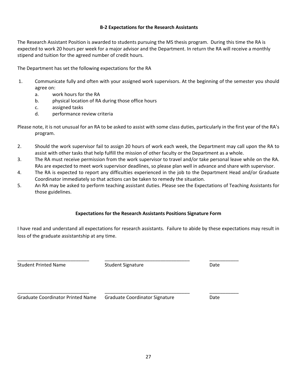#### **B‐2 Expectations for the Research Assistants**

The Research Assistant Position is awarded to students pursuing the MS thesis program. During this time the RA is expected to work 20 hours per week for a major advisor and the Department. In return the RA will receive a monthly stipend and tuition for the agreed number of credit hours.

The Department has set the following expectations for the RA

- 1. Communicate fully and often with your assigned work supervisors. At the beginning of the semester you should agree on:
	- a. work hours for the RA
	- b. physical location of RA during those office hours
	- c. assigned tasks
	- d. performance review criteria
- Please note, it is not unusual for an RA to be asked to assist with some class duties, particularly in the first year of the RA's program.
- 2. Should the work supervisor fail to assign 20 hours of work each week, the Department may call upon the RA to assist with other tasks that help fulfill the mission of other faculty or the Department as a whole.
- 3. The RA must receive permission from the work supervisor to travel and/or take personal leave while on the RA. RAs are expected to meet work supervisor deadlines, so please plan well in advance and share with supervisor.
- 4. The RA is expected to report any difficulties experienced in the job to the Department Head and/or Graduate Coordinator immediately so that actions can be taken to remedy the situation.
- 5. An RA may be asked to perform teaching assistant duties. Please see the Expectations of Teaching Assistants for those guidelines.

#### **Expectations for the Research Assistants Positions Signature Form**

I have read and understand all expectations for research assistants. Failure to abide by these expectations may result in loss of the graduate assistantship at any time.

Student Printed Name **Student Signature Student Signature Student Signature Student Signature Student Signature Constant Signature Constant Signature Constant Signature Constant Signature Constant Sig** 

\_\_\_\_\_\_\_\_\_\_\_\_\_\_\_\_\_\_\_\_\_\_\_\_\_\_\_ \_\_\_\_\_\_\_\_\_\_\_\_\_\_\_\_\_\_\_\_\_\_\_\_\_\_\_\_\_\_\_\_ \_\_\_\_\_\_\_\_\_\_\_

Graduate Coordinator Printed Name Graduate Coordinator Signature **Date** Date

\_\_\_\_\_\_\_\_\_\_\_\_\_\_\_\_\_\_\_\_\_\_\_\_\_\_\_ \_\_\_\_\_\_\_\_\_\_\_\_\_\_\_\_\_\_\_\_\_\_\_\_\_\_\_\_\_\_\_\_ \_\_\_\_\_\_\_\_\_\_\_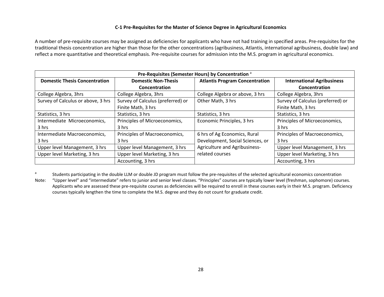#### **C‐1 Pre‐Requisites for the Master of Science Degree in Agricultural Economics**

A number of pre‐requisite courses may be assigned as deficiencies for applicants who have not had training in specified areas. Pre‐requisites for the traditional thesis concentration are higher than those for the other concentrations (agribusiness, Atlantis, international agribusiness, double law) and reflect a more quantitative and theoretical emphasis. Pre‐requisite courses for admission into the M.S. program in agricultural economics.

| Pre-Requisites (Semester Hours) by Concentration <sup>a</sup> |                                   |                                       |                                   |
|---------------------------------------------------------------|-----------------------------------|---------------------------------------|-----------------------------------|
| <b>Domestic Thesis Concentration</b>                          | <b>Domestic Non-Thesis</b>        | <b>Atlantis Program Concentration</b> | <b>International Agribusiness</b> |
|                                                               | Concentration                     |                                       | Concentration                     |
| College Algebra, 3hrs                                         | College Algebra, 3hrs             | College Algebra or above, 3 hrs       | College Algebra, 3hrs             |
| Survey of Calculus or above, 3 hrs                            | Survey of Calculus (preferred) or | Other Math, 3 hrs                     | Survey of Calculus (preferred) or |
|                                                               | Finite Math, 3 hrs                |                                       | Finite Math, 3 hrs                |
| Statistics, 3 hrs                                             | Statistics, 3 hrs                 | Statistics, 3 hrs                     | Statistics, 3 hrs                 |
| Intermediate Microeconomics,                                  | Principles of Microeconomics,     | Economic Principles, 3 hrs            | Principles of Microeconomics,     |
| 3 hrs                                                         | 3 hrs                             |                                       | 3 hrs                             |
| Intermediate Macroeconomics,                                  | Principles of Macroeconomics,     | 6 hrs of Ag Economics, Rural          | Principles of Macroeconomics,     |
| 3 hrs                                                         | 3 hrs                             | Development, Social Sciences, or      | 3 hrs                             |
| Upper level Management, 3 hrs                                 | Upper level Management, 3 hrs     | Agriculture and Agribusiness-         | Upper level Management, 3 hrs     |
| Upper level Marketing, 3 hrs                                  | Upper level Marketing, 3 hrs      | related courses                       | Upper level Marketing, 3 hrs      |
|                                                               | Accounting, 3 hrs                 |                                       | Accounting, 3 hrs                 |

a<sup>a</sup> Students participating in the double LLM or double JD program must follow the pre-requisites of the selected agricultural economics concentration

Note: "Upper level" and "intermediate" refers to junior and senior level classes. "Principles" courses are typically lower level (freshman, sophomore) courses. Applicants who are assessed these pre-requisite courses as deficiencies will be required to enroll in these courses early in their M.S. program. Deficiency courses typically lengthen the time to complete the M.S. degree and they do not count for graduate credit.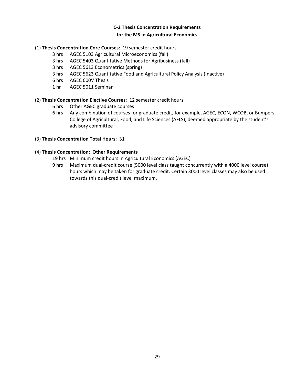#### **C‐2 Thesis Concentration Requirements for the MS in Agricultural Economics**

#### (1) **Thesis Concentration Core Courses**: 19 semester credit hours

- 3 hrs AGEC 5103 Agricultural Microeconomics (fall)
- 3 hrs AGEC 5403 Quantitative Methods for Agribusiness (fall)
- 3 hrs AGEC 5613 Econometrics (spring)
- 3 hrs AGEC 5623 Quantitative Food and Agricultural Policy Analysis (Inactive)
- 6 hrs AGEC 600V Thesis
- 1 hr AGEC 5011 Seminar

#### (2) **Thesis Concentration Elective Courses**: 12 semester credit hours

- 6 hrs Other AGEC graduate courses
- 6 hrs Any combination of courses for graduate credit, for example, AGEC, ECON, WCOB, or Bumpers College of Agricultural, Food, and Life Sciences (AFLS), deemed appropriate by the student's advisory committee

#### (3) **Thesis Concentration Total Hours**: 31

#### (4) **Thesis Concentration: Other Requirements**

- 19 hrs Minimum credit hours in Agricultural Economics (AGEC)
- 9 hrs Maximum dual-credit course (5000 level class taught concurrently with a 4000 level course) hours which may be taken for graduate credit. Certain 3000 level classes may also be used towards this dual‐credit level maximum.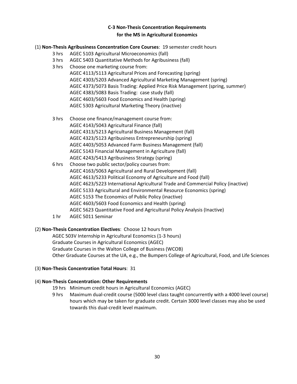#### **C‐3 Non‐Thesis Concentration Requirements for the MS in Agricultural Economics**

#### (1) **Non‐Thesis Agribusiness Concentration Core Courses**: 19 semester credit hours

- 3 hrs AGEC 5103 Agricultural Microeconomics (fall)
- 3 hrs AGEC 5403 Quantitative Methods for Agribusiness (fall)
- 3 hrs Choose one marketing course from:
	- AGEC 4113/5113 Agricultural Prices and Forecasting (spring) AGEC 4303/5203 Advanced Agricultural Marketing Management (spring) AGEC 4373/5073 Basis Trading: Applied Price Risk Management (spring, summer) AGEC 4383/5083 Basis Trading: case study (fall) AGEC 4603/5603 Food Economics and Health (spring) AGEC 5303 Agricultural Marketing Theory (inactive)
- 3 hrs Choose one finance/management course from: AGEC 4143/5043 Agricultural Finance (fall) AGEC 4313/5213 Agricultural Business Management (fall) AGEC 4323/5123 Agribusiness Entrepreneurship (spring) AGEC 4403/5053 Advanced Farm Business Management (fall) AGEC 5143 Financial Management in Agriculture (fall) AGEC 4243/5413 Agribusiness Strategy (spring)
- 6 hrs Choose two public sector/policy courses from: AGEC 4163/5063 Agricultural and Rural Development (fall) AGEC 4613/5233 Political Economy of Agriculture and Food (fall) AGEC 4623/5223 International Agricultural Trade and Commercial Policy (inactive) AGEC 5133 Agricultural and Environmental Resource Economics (spring) AGEC 5153 The Economics of Public Policy (inactive) AGEC 4603/5603 Food Economics and Health (spring) AGEC 5623 Quantitative Food and Agricultural Policy Analysis (Inactive)
- 1 hr AGEC 5011 Seminar

#### (2) **Non‐Thesis Concentration Electives**: Choose 12 hours from

AGEC 503V Internship in Agricultural Economics (1‐3 hours) Graduate Courses in Agricultural Economics (AGEC) Graduate Courses in the Walton College of Business (WCOB) Other Graduate Courses at the UA, e.g., the Bumpers College of Agricultural, Food, and Life Sciences

#### (3) **Non‐Thesis Concentration Total Hours**: 31

#### (4) **Non‐Thesis Concentration: Other Requirements**

- 19 hrs Minimum credit hours in Agricultural Economics (AGEC)
- 9 hrs Maximum dual-credit course (5000 level class taught concurrently with a 4000 level course) hours which may be taken for graduate credit. Certain 3000 level classes may also be used towards this dual‐credit level maximum.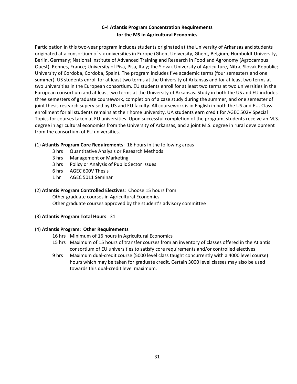#### **C‐4 Atlantis Program Concentration Requirements for the MS in Agricultural Economics**

Participation in this two‐year program includes students originated at the University of Arkansas and students originated at a consortium of six universities in Europe (Ghent University, Ghent, Belgium; Humboldt University, Berlin, Germany; National Institute of Advanced Training and Research in Food and Agronomy (Agrocampus Ouest), Rennes, France; University of Pisa, Pisa, Italy; the Slovak University of Agriculture, Nitra, Slovak Republic; University of Cordoba, Cordoba, Spain). The program includes five academic terms (four semesters and one summer). US students enroll for at least two terms at the University of Arkansas and for at least two terms at two universities in the European consortium. EU students enroll for at least two terms at two universities in the European consortium and at least two terms at the University of Arkansas. Study in both the US and EU includes three semesters of graduate coursework, completion of a case study during the summer, and one semester of joint thesis research supervised by US and EU faculty. All coursework is in English in both the US and EU. Class enrollment for all students remains at their home university. UA students earn credit for AGEC 502V Special Topics for courses taken at EU universities. Upon successful completion of the program, students receive an M.S. degree in agricultural economics from the University of Arkansas, and a joint M.S. degree in rural development from the consortium of EU universities.

#### (1) **Atlantis Program Core Requirements**: 16 hours in the following areas

- 3 hrs Quantitative Analysis or Research Methods
- 3 hrs Management or Marketing
- 3 hrs Policy or Analysis of Public Sector Issues
- 6 hrs AGEC 600V Thesis
- 1 hr AGEC 5011 Seminar

#### (2) **Atlantis Program Controlled Electives**: Choose 15 hours from

Other graduate courses in Agricultural Economics Other graduate courses approved by the student's advisory committee

#### (3) **Atlantis Program Total Hours**: 31

#### (4) **Atlantis Program: Other Requirements**

- 16 hrs Minimum of 16 hours in Agricultural Economics
- 15 hrs Maximum of 15 hours of transfer courses from an inventory of classes offered in the Atlantis consortium of EU universities to satisfy core requirements and/or controlled electives
- 9 hrs Maximum dual-credit course (5000 level class taught concurrently with a 4000 level course) hours which may be taken for graduate credit. Certain 3000 level classes may also be used towards this dual‐credit level maximum.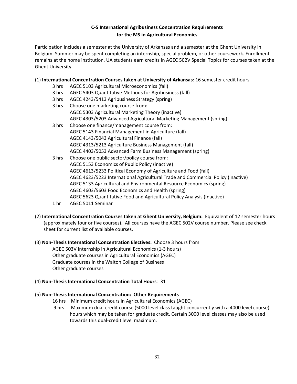#### **C‐5 International Agribusiness Concentration Requirements for the MS in Agricultural Economics**

Participation includes a semester at the University of Arkansas and a semester at the Ghent University in Belgium. Summer may be spent completing an internship, special problem, or other coursework. Enrollment remains at the home institution. UA students earn credits in AGEC 502V Special Topics for courses taken at the Ghent University.

#### (1) **International Concentration Courses taken at University of Arkansas**: 16 semester credit hours

- 3 hrs AGEC 5103 Agricultural Microeconomics (fall)
- 3 hrs AGEC 5403 Quantitative Methods for Agribusiness (fall)
- 3 hrs AGEC 4243/5413 Agribusiness Strategy (spring)

| 3 hrs | Choose one marketing course from:                                                |
|-------|----------------------------------------------------------------------------------|
|       | AGEC 5303 Agricultural Marketing Theory (inactive)                               |
|       | AGEC 4303/5203 Advanced Agricultural Marketing Management (spring)               |
| 3 hrs | Choose one finance/management course from:                                       |
|       | AGEC 5143 Financial Management in Agriculture (fall)                             |
|       | AGEC 4143/5043 Agricultural Finance (fall)                                       |
|       | AGEC 4313/5213 Agriculture Business Management (fall)                            |
|       | AGEC 4403/5053 Advanced Farm Business Management (spring)                        |
| 3 hrs | Choose one public sector/policy course from:                                     |
|       | AGEC 5153 Economics of Public Policy (inactive)                                  |
|       | AGEC 4613/5233 Political Economy of Agriculture and Food (fall)                  |
|       | AGEC 4623/5223 International Agricultural Trade and Commercial Policy (inactive) |
|       | AGEC 5133 Agricultural and Environmental Resource Economics (spring)             |
|       | AGEC 4603/5603 Food Economics and Health (spring)                                |
|       | AGEC 5623 Quantitative Food and Agricultural Policy Analysis (Inactive)          |
|       |                                                                                  |

- 1 hr AGEC 5011 Seminar
- (2) **International Concentration Courses taken at Ghent University, Belgium:** Equivalent of 12 semester hours (approximately four or five courses). All courses have the AGEC 502V course number. Please see check sheet for current list of available courses.

#### (3) **Non‐Thesis International Concentration Electives:** Choose 3 hours from AGEC 503V Internship in Agricultural Economics (1‐3 hours) Other graduate courses in Agricultural Economics (AGEC) Graduate courses in the Walton College of Business Other graduate courses

#### (4) **Non‐Thesis International Concentration Total Hours**: 31

#### (5) **Non‐Thesis International Concentration: Other Requirements**

- 16 hrs Minimum credit hours in Agricultural Economics (AGEC)
- 9 hrs Maximum dual-credit course (5000 level class taught concurrently with a 4000 level course) hours which may be taken for graduate credit. Certain 3000 level classes may also be used towards this dual‐credit level maximum.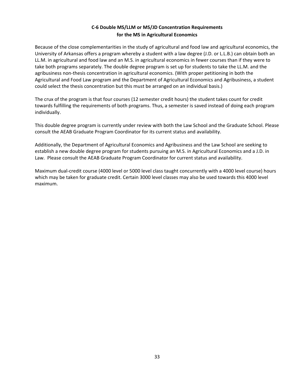#### **C‐6 Double MS/LLM or MS/JD Concentration Requirements for the MS in Agricultural Economics**

Because of the close complementarities in the study of agricultural and food law and agricultural economics, the University of Arkansas offers a program whereby a student with a law degree (J.D. or L.L.B.) can obtain both an LL.M. in agricultural and food law and an M.S. in agricultural economics in fewer courses than if they were to take both programs separately. The double degree program is set up for students to take the LL.M. and the agribusiness non-thesis concentration in agricultural economics. (With proper petitioning in both the Agricultural and Food Law program and the Department of Agricultural Economics and Agribusiness, a student could select the thesis concentration but this must be arranged on an individual basis.)

The crux of the program is that four courses (12 semester credit hours) the student takes count for credit towards fulfilling the requirements of both programs. Thus, a semester is saved instead of doing each program individually.

This double degree program is currently under review with both the Law School and the Graduate School. Please consult the AEAB Graduate Program Coordinator for its current status and availability.

Additionally, the Department of Agricultural Economics and Agribusiness and the Law School are seeking to establish a new double degree program for students pursuing an M.S. in Agricultural Economics and a J.D. in Law. Please consult the AEAB Graduate Program Coordinator for current status and availability.

Maximum dual‐credit course (4000 level or 5000 level class taught concurrently with a 4000 level course) hours which may be taken for graduate credit. Certain 3000 level classes may also be used towards this 4000 level maximum.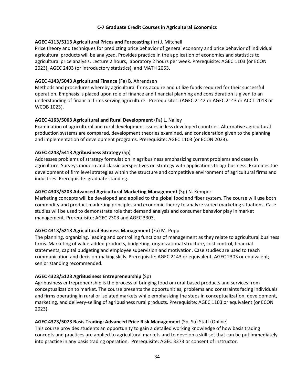#### **C‐7 Graduate Credit Courses in Agricultural Economics**

#### **AGEC 4113/5113 Agricultural Prices and Forecasting** (irr) J. Mitchell

Price theory and techniques for predicting price behavior of general economy and price behavior of individual agricultural products will be analyzed. Provides practice in the application of economics and statistics to agricultural price analysis. Lecture 2 hours, laboratory 2 hours per week. Prerequisite: AGEC 1103 (or ECON 2023), AGEC 2403 (or introductory statistics), and MATH 2053.

#### **AGEC 4143/5043 Agricultural Finance** (Fa) B. Ahrendsen

Methods and procedures whereby agricultural firms acquire and utilize funds required for their successful operation. Emphasis is placed upon role of finance and financial planning and consideration is given to an understanding of financial firms serving agriculture. Prerequisites: (AGEC 2142 or AGEC 2143 or ACCT 2013 or WCOB 1023).

#### **AGEC 4163/5063 Agricultural and Rural Development** (Fa) L. Nalley

Examination of agricultural and rural development issues in less developed countries. Alternative agricultural production systems are compared, development theories examined, and consideration given to the planning and implementation of development programs. Prerequisite: AGEC 1103 (or ECON 2023).

#### **AGEC 4243/5413 Agribusiness Strategy** (Sp)

Addresses problems of strategy formulation in agribusiness emphasizing current problems and cases in agriculture. Surveys modern and classic perspectives on strategy with applications to agribusiness. Examines the development of firm level strategies within the structure and competitive environment of agricultural firms and industries. Prerequisite: graduate standing.

#### **AGEC 4303/5203 Advanced Agricultural Marketing Management** (Sp) N. Kemper

Marketing concepts will be developed and applied to the global food and fiber system. The course will use both commodity and product marketing principles and economic theory to analyze varied marketing situations. Case studies will be used to demonstrate role that demand analysis and consumer behavior play in market management. Prerequisite: AGEC 2303 and AGEC 3303.

#### **AGEC 4313/5213 Agricultural Business Management** (Fa) M. Popp

The planning, organizing, leading and controlling functions of management as they relate to agricultural business firms. Marketing of value‐added products, budgeting, organizational structure, cost control, financial statements, capital budgeting and employee supervision and motivation. Case studies are used to teach communication and decision‐making skills. Prerequisite: AGEC 2143 or equivalent, AGEC 2303 or equivalent; senior standing recommended.

#### **AGEC 4323/5123 AgriBusiness Entrepreneurship** (Sp)

Agribusiness entrepreneurship is the process of bringing food or rural‐based products and services from conceptualization to market. The course presents the opportunities, problems and constraints facing individuals and firms operating in rural or isolated markets while emphasizing the steps in conceptualization, development, marketing, and delivery‐selling of agribusiness rural products. Prerequisite: AGEC 1103 or equivalent (or ECON 2023).

#### **AGEC 4373/5073 Basis Trading: Advanced Price Risk Management** (Sp, Su) Staff (Online)

This course provides students an opportunity to gain a detailed working knowledge of how basis trading concepts and practices are applied to agricultural markets and to develop a skill set that can be put immediately into practice in any basis trading operation. Prerequisite: AGEC 3373 or consent of instructor.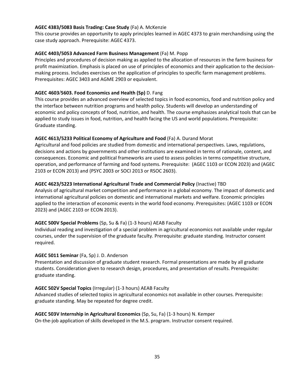#### **AGEC 4383/5083 Basis Trading: Case Study** (Fa) A. McKenzie

This course provides an opportunity to apply principles learned in AGEC 4373 to grain merchandising using the case study approach. Prerequisite: AGEC 4373.

#### **AGEC 4403/5053 Advanced Farm Business Management** (Fa) M. Popp

Principles and procedures of decision making as applied to the allocation of resources in the farm business for profit maximization. Emphasis is placed on use of principles of economics and their application to the decision‐ making process. Includes exercises on the application of principles to specific farm management problems. Prerequisites: AGEC 3403 and AGME 2903 or equivalent.

#### **AGEC 4603/5603. Food Economics and Health (Sp)** D. Fang

This course provides an advanced overview of selected topics in food economics, food and nutrition policy and the interface between nutrition programs and health policy. Students will develop an understanding of economic and policy concepts of food, nutrition, and health. The course emphasizes analytical tools that can be applied to study issues in food, nutrition, and health facing the US and world populations. Prerequisite: Graduate standing.

#### **AGEC 4613/5233 Political Economy of Agriculture and Food** (Fa) A. Durand Morat

Agricultural and food policies are studied from domestic and international perspectives. Laws, regulations, decisions and actions by governments and other institutions are examined in terms of rationale, content, and consequences. Economic and political frameworks are used to assess policies in terms competitive structure, operation, and performance of farming and food systems. Prerequisite: (AGEC 1103 or ECON 2023) and (AGEC 2103 or ECON 2013) and (PSYC 2003 or SOCI 2013 or RSOC 2603).

#### **AGEC 4623/5223 International Agricultural Trade and Commercial Policy** (Inactive) TBD

Analysis of agricultural market competition and performance in a global economy. The impact of domestic and international agricultural policies on domestic and international markets and welfare. Economic principles applied to the interaction of economic events in the world food economy. Prerequisites: (AGEC 1103 or ECON 2023) and (AGEC 2103 or ECON 2013).

#### **AGEC 500V Special Problems** (Sp, Su & Fa) (1‐3 hours) AEAB Faculty

Individual reading and investigation of a special problem in agricultural economics not available under regular courses, under the supervision of the graduate faculty. Prerequisite: graduate standing. Instructor consent required.

#### **AGEC 5011 Seminar** (Fa, Sp) J. D. Anderson

Presentation and discussion of graduate student research. Formal presentations are made by all graduate students. Consideration given to research design, procedures, and presentation of results. Prerequisite: graduate standing.

#### **AGEC 502V Special Topics** (Irregular) (1‐3 hours) AEAB Faculty

Advanced studies of selected topics in agricultural economics not available in other courses. Prerequisite: graduate standing. May be repeated for degree credit.

#### **AGEC 503V Internship in Agricultural Economics** (Sp, Su, Fa) (1‐3 hours) N. Kemper

On‐the‐job application of skills developed in the M.S. program. Instructor consent required.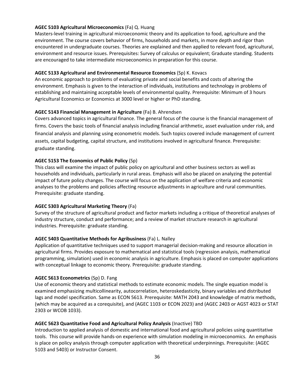#### **AGEC 5103 Agricultural Microeconomics** (Fa) Q. Huang

Masters‐level training in agricultural microeconomic theory and its application to food, agriculture and the environment. The course covers behavior of firms, households and markets, in more depth and rigor than encountered in undergraduate courses. Theories are explained and then applied to relevant food, agricultural, environment and resource issues. Prerequisites: Survey of calculus or equivalent; Graduate standing. Students are encouraged to take intermediate microeconomics in preparation for this course.

#### **AGEC 5133 Agricultural and Environmental Resource Economics** (Sp) K. Kovacs

An economic approach to problems of evaluating private and social benefits and costs of altering the environment. Emphasis is given to the interaction of individuals, institutions and technology in problems of establishing and maintaining acceptable levels of environmental quality. Prerequisite: Minimum of 3 hours Agricultural Economics or Economics at 3000 level or higher or PhD standing.

#### **AGEC 5143 Financial Management in Agriculture** (Fa) B. Ahrendsen

Covers advanced topics in agricultural finance. The general focus of the course is the financial management of firms. Covers the basic tools of financial analysis including financial arithmetic, asset evaluation under risk, and financial analysis and planning using econometric models. Such topics covered include management of current assets, capital budgeting, capital structure, and institutions involved in agricultural finance. Prerequisite: graduate standing.

#### **AGEC 5153 The Economics of Public Policy** (Sp)

This class will examine the impact of public policy on agricultural and other business sectors as well as households and individuals, particularly in rural areas. Emphasis will also be placed on analyzing the potential impact of future policy changes. The course will focus on the application of welfare criteria and economic analyses to the problems and policies affecting resource adjustments in agriculture and rural communities. Prerequisite: graduate standing.

#### **AGEC 5303 Agricultural Marketing Theory** (Fa)

Survey of the structure of agricultural product and factor markets including a critique of theoretical analyses of industry structure, conduct and performance; and a review of market structure research in agricultural industries. Prerequisite: graduate standing.

#### **AGEC 5403 Quantitative Methods for Agribusiness** (Fa) L. Nalley

Application of quantitative techniques used to support managerial decision‐making and resource allocation in agricultural firms. Provides exposure to mathematical and statistical tools (regression analysis, mathematical programming, simulation) used in economic analysis in agriculture. Emphasis is placed on computer applications with conceptual linkage to economic theory. Prerequisite: graduate standing.

#### **AGEC 5613 Econometrics** (Sp) D. Fang

Use of economic theory and statistical methods to estimate economic models. The single equation model is examined emphasizing multicollinearity, autocorrelation, heteroskedasticity, binary variables and distributed lags and model specification. Same as ECON 5613. Prerequisite: MATH 2043 and knowledge of matrix methods, (which may be acquired as a corequisite), and (AGEC 1103 or ECON 2023) and (AGEC 2403 or AGST 4023 or STAT 2303 or WCOB 1033).

#### **AGEC 5623 Quantitative Food and Agricultural Policy Analysis** (Inactive) TBD

Introduction to applied analysis of domestic and international food and agricultural policies using quantitative tools. This course will provide hands‐on experience with simulation modeling in microeconomics. An emphasis is place on policy analysis through computer application with theoretical underpinnings. Prerequisite: (AGEC 5103 and 5403) or Instructor Consent.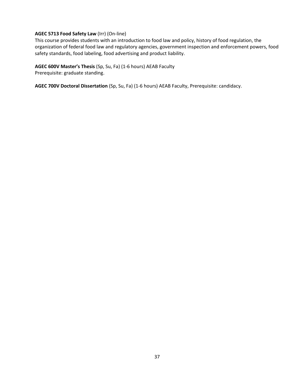#### **AGEC 5713 Food Safety Law** (Irr) (On‐line)

This course provides students with an introduction to food law and policy, history of food regulation, the organization of federal food law and regulatory agencies, government inspection and enforcement powers, food safety standards, food labeling, food advertising and product liability.

#### **AGEC 600V Master's Thesis** (Sp, Su, Fa) (1‐6 hours) AEAB Faculty

Prerequisite: graduate standing.

**AGEC 700V Doctoral Dissertation** (Sp, Su, Fa) (1‐6 hours) AEAB Faculty, Prerequisite: candidacy.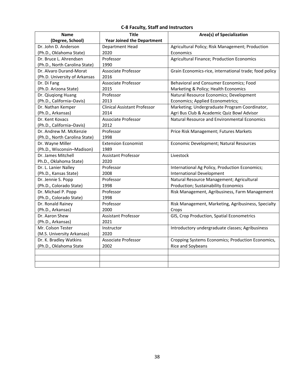#### **C‐8 Faculty, Staff and Instructors**

| <b>Name</b>                   | <b>Title</b>                        | Area(s) of Specialization                              |
|-------------------------------|-------------------------------------|--------------------------------------------------------|
| (Degree, School)              | <b>Year Joined the Department</b>   |                                                        |
| Dr. John D. Anderson          | Department Head                     | Agricultural Policy; Risk Management; Production       |
| (Ph.D., Oklahoma State)       | 2020                                | Economics                                              |
| Dr. Bruce L. Ahrendsen        | Professor                           | Agricultural Finance; Production Economics             |
| (Ph.D., North Carolina State) | 1990                                |                                                        |
| Dr. Alvaro Durand-Morat       | <b>Associate Professor</b>          | Grain Economics-rice, international trade; food policy |
| (Ph.D. University of Arkansas | 2016                                |                                                        |
| Dr. Di Fang                   | Associate Professor                 | Behavioral and Consumer Economics; Food                |
| (Ph.D. Arizona State)         | 2015                                | Marketing & Policy; Health Economics                   |
| Dr. Qiuqiong Huang            | Professor                           | Natural Resource Economics; Development                |
| (Ph.D., California-Davis)     | 2013                                | Economics; Applied Econometrics;                       |
| Dr. Nathan Kemper             | <b>Clinical Assistant Professor</b> | Marketing; Undergraduate Program Coordinator,          |
| (Ph.D., Arkansas)             | 2014                                | Agri Bus Club & Academic Quiz Bowl Advisor             |
| Dr. Kent Kovacs               | <b>Associate Professor</b>          | Natural Resource and Environmental Economics           |
| (Ph.D., California-Davis)     | 2012                                |                                                        |
| Dr. Andrew M. McKenzie        | Professor                           | Price Risk Management; Futures Markets                 |
| (Ph.D., North Carolina State) | 1998                                |                                                        |
| Dr. Wayne Miller              | <b>Extension Economist</b>          | Economic Development; Natural Resources                |
| (Ph.D., Wisconsin-Madison)    | 1989                                |                                                        |
| Dr. James Mitchell            | <b>Assistant Professor</b>          | Livestock                                              |
| Ph.D., Oklahoma State)        | 2020                                |                                                        |
| Dr. L. Lanier Nalley          | Professor                           | International Ag Policy, Production Economics;         |
| (Ph.D., Kansas State)         | 2008                                | <b>International Development</b>                       |
| Dr. Jennie S. Popp            | Professor                           | Natural Resource Management; Agricultural              |
| (Ph.D., Colorado State)       | 1998                                | Production; Sustainability Economics                   |
| Dr. Michael P. Popp           | Professor                           | Risk Management, Agribusiness, Farm Management         |
| (Ph.D., Colorado State)       | 1998                                |                                                        |
| Dr. Ronald Rainey             | Professor                           | Risk Management, Marketing, Agribusiness, Specialty    |
| (Ph.D., Arkansas)             | 2000                                | Crops                                                  |
| Dr. Aaron Shew                | Assistant Professor                 | GIS, Crop Production, Spatial Econometrics             |
| (Ph.D., Arkansas)             | 2021                                |                                                        |
| Mr. Colson Tester             | Instructor                          | Introductory undergraduate classes; Agribusiness       |
| (M.S. University Arkansas)    | 2020                                |                                                        |
| Dr. K. Bradley Watkins        | <b>Associate Professor</b>          | Cropping Systems Economics; Production Economics,      |
| (Ph.D., Oklahoma State        | 2002                                | Rice and Soybeans                                      |
|                               |                                     |                                                        |
|                               |                                     |                                                        |
|                               |                                     |                                                        |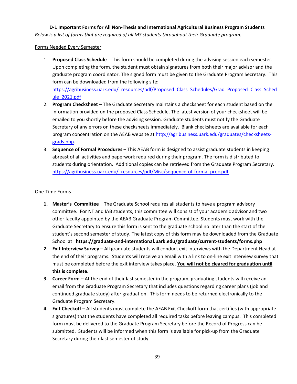**D‐1 Important Forms for All Non‐Thesis and International Agricultural Business Program Students** *Below is a list of forms that are required of all MS students throughout their Graduate program.* 

#### Forms Needed Every Semester

- 1. **Proposed Class Schedule** This form should be completed during the advising session each semester. Upon completing the form, the student must obtain signatures from both their major advisor and the graduate program coordinator. The signed form must be given to the Graduate Program Secretary. This form can be downloaded from the following site: https://agribusiness.uark.edu/\_resources/pdf/Proposed\_Class\_Schedules/Grad\_Proposed\_Class\_Sched ule\_2021.pdf
- 2. **Program Checksheet** The Graduate Secretary maintains a checksheet for each student based on the information provided on the proposed Class Schedule. The latest version of your checksheet will be emailed to you shortly before the advising session. Graduate students must notify the Graduate Secretary of any errors on these checksheets immediately. Blank checksheets are available for each program concentration on the AEAB website at http://agribusiness.uark.edu/graduates/checksheets‐ grads.php.
- 3. **Sequence of Formal Procedures** This AEAB form is designed to assist graduate students in keeping abreast of all activities and paperwork required during their program. The form is distributed to students during orientation. Additional copies can be retrieved from the Graduate Program Secretary. https://agribusiness.uark.edu/\_resources/pdf/Misc/sequence-of-formal-proc.pdf

#### One‐Time Forms

- **1. Master's Committee** The Graduate School requires all students to have a program advisory committee. For NT and IAB students, this committee will consist of your academic advisor and two other faculty appointed by the AEAB Graduate Program Committee. Students must work with the Graduate Secretary to ensure this form is sent to the graduate school no later than the start of the student's second semester of study. The latest copy of this form may be downloaded from the Graduate School at **https://graduate‐and‐international.uark.edu/graduate/current‐students/forms.php**
- **2. Exit Interview Survey** All graduate students will conduct exit interviews with the Department Head at the end of their programs. Students will receive an email with a link to on‐line exit interview survey that must be completed before the exit interview takes place. **You will not be cleared for graduation until this is complete.**
- **3. Career Form** At the end of their last semester in the program, graduating students will receive an email from the Graduate Program Secretary that includes questions regarding career plans (job and continued graduate study) after graduation. This form needs to be returned electronically to the Graduate Program Secretary.
- **4. Exit Checkoff** All students must complete the AEAB Exit Checkoff form that certifies (with appropriate signatures) that the students have completed all required tasks before leaving campus. This completed form must be delivered to the Graduate Program Secretary before the Record of Progress can be submitted. Students will be informed when this form is available for pick‐up from the Graduate Secretary during their last semester of study.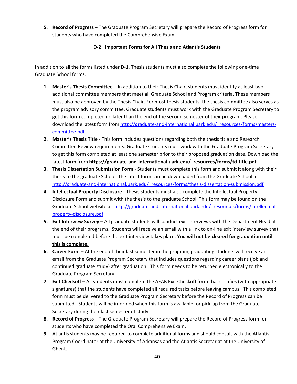**5. Record of Progress** – The Graduate Program Secretary will prepare the Record of Progress form for students who have completed the Comprehensive Exam.

#### **D‐2 Important Forms for All Thesis and Atlantis Students**

In addition to all the forms listed under D‐1, Thesis students must also complete the following one‐time Graduate School forms.

- **1. Master's Thesis Committee** In addition to their Thesis Chair, students must identify at least two additional committee members that meet all Graduate School and Program criteria. These members must also be approved by the Thesis Chair. For most thesis students, the thesis committee also serves as the program advisory committee. Graduate students must work with the Graduate Program Secretary to get this form completed no later than the end of the second semester of their program. Please download the latest form from http://graduate-and-international.uark.edu/\_resources/forms/masterscommittee.pdf
- **2. Master's Thesis Title** ‐ This form includes questions regarding both the thesis title and Research Committee Review requirements. Graduate students must work with the Graduate Program Secretary to get this form completed at least one semester prior to their proposed graduation date. Download the latest form from **https://graduate‐and‐international.uark.edu/\_resources/forms/td‐title.pdf**
- **3. Thesis Dissertation Submission Form** ‐ Students must complete this form and submit it along with their thesis to the graduate School. The latest form can be downloaded from the Graduate School at http://graduate-and-international.uark.edu/\_resources/forms/thesis-dissertation-submission.pdf
- **4. Intellectual Property Disclosure** ‐ Thesis students must also complete the Intellectual Property Disclosure Form and submit with the thesis to the graduate School. This form may be found on the Graduate School website at http://graduate-and-international.uark.edu/ resources/forms/intellectualproperty‐disclosure.pdf
- **5. Exit Interview Survey** All graduate students will conduct exit interviews with the Department Head at the end of their programs. Students will receive an email with a link to on‐line exit interview survey that must be completed before the exit interview takes place. **You will not be cleared for graduation until this is complete.**
- **6. Career Form** At the end of their last semester in the program, graduating students will receive an email from the Graduate Program Secretary that includes questions regarding career plans (job and continued graduate study) after graduation. This form needs to be returned electronically to the Graduate Program Secretary.
- **7. Exit Checkoff** All students must complete the AEAB Exit Checkoff form that certifies (with appropriate signatures) that the students have completed all required tasks before leaving campus. This completed form must be delivered to the Graduate Program Secretary before the Record of Progress can be submitted. Students will be informed when this form is available for pick‐up from the Graduate Secretary during their last semester of study.
- **8. Record of Progress** The Graduate Program Secretary will prepare the Record of Progress form for students who have completed the Oral Comprehensive Exam.
- **9.** Atlantis students may be required to complete additional forms and should consult with the Atlantis Program Coordinator at the University of Arkansas and the Atlantis Secretariat at the University of Ghent.